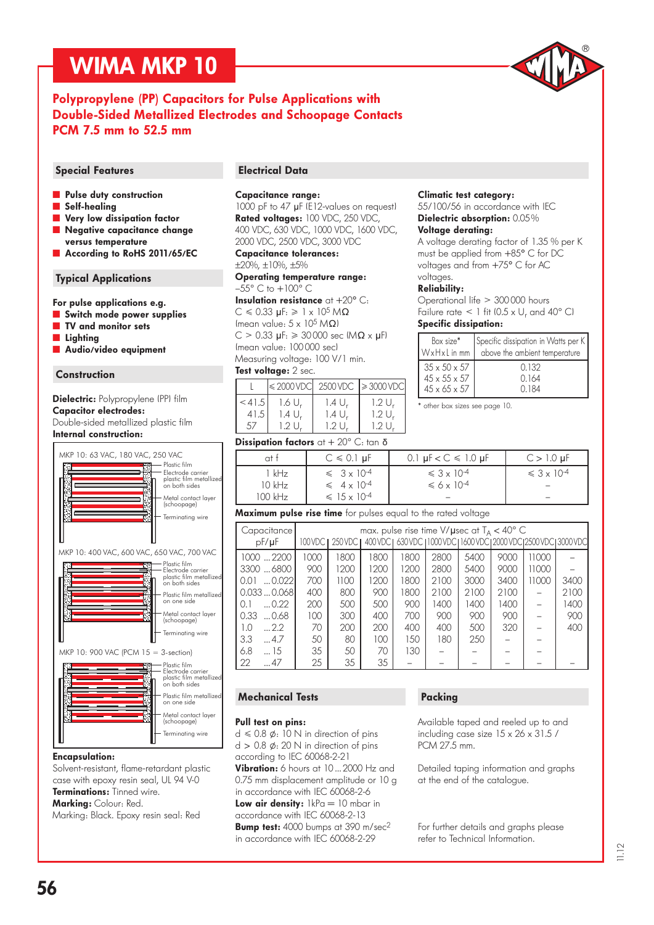

#### Polypropylene (PP) Capacitors for Pulse Applications with Double-Sided Metallized Electrodes and Schoopage Contacts PCM 7.5 mm to 52.5 mm

- **N** Pulse duty construction
- Self-healing
- Very low dissipation factor
- Negative capacitance change versus temperature
- According to RoHS 2011/65/EC

#### Typical Applications

#### For pulse applications e.g.

- **Switch mode power supplies**
- ˜ TV and monitor sets
- **Lighting**
- ˜ Audio/video equipment

#### Construction

#### Dielectric: Polypropylene (PP) film Capacitor electrodes: Double-sided metallized plastic film Internal construction:





MKP 10: 900 VAC (PCM 15 = 3-section)



#### Encapsulation:

Solvent-resistant, flame-retardant plastic case with epoxy resin seal, UL 94 V-0 Terminations: Tinned wire. Marking: Colour: Red.

Marking: Black. Epoxy resin seal: Red

#### Special Features **Electrical Data**

#### Capacitance range:

1000 pF to 47 µF (E12-values on request) Rated voltages: 100 VDC, 250 VDC, 400 VDC, 630 VDC, 1000 VDC, 1600 VDC, 2000 VDC, 2500 VDC, 3000 VDC

Capacitance tolerances:

#### ±20%, ±10%, ±5%

Operating temperature range:  $-55^{\circ}$  C to  $+100^{\circ}$  C

Insulation resistance  $at + 20^{\circ}$  C:  $C \le 0.33$  uF:  $\ge 1 \times 10^5$  MQ (mean value:  $5 \times 10^5 M\Omega$ )  $C > 0.33$  µF:  $\geqslant 30000$  sec  $M\Omega \times \mu$ F) (mean value: 100 000 sec) Measuring voltage: 100 V/1 min.

#### Test voltage: 2 sec.

|        |        |       | $\leq 2000$ VDC 2500 VDC $\geq 3000$ VDC |
|--------|--------|-------|------------------------------------------|
| < 41.5 | 1.6 U, | 1.4 U | 1.2 U.                                   |
| 41.5   | 1.4 U, | 1.4 U | 1.2 U                                    |
| 57     | 1.2 U  | 1.2 U | 1.2 L                                    |

#### **Dissipation factors** at  $+$  20 $^{\circ}$  C: tan  $\delta$

| at t                | $C \le 0.1$ µF                                      | 0.1 $\mu$ F < C $\leq$ 1.0 $\mu$ F | $C > 1.0 \mu F$         |
|---------------------|-----------------------------------------------------|------------------------------------|-------------------------|
| kHz                 | $\leqslant$ 3 x 10 <sup>-4</sup>                    | $\leq 3 \times 10^{-4}$            | $\leq 3 \times 10^{-4}$ |
| $10$ kHz<br>100 kHz | $\leq 4 \times 10^{-4}$<br>$\leq 15 \times 10^{-4}$ | $\leq 6 \times 10^{-4}$            |                         |

#### Maximum pulse rise time for pulses equal to the rated voltage

| Capacitance           |         | max. pulse rise time V/ $\mu$ sec at T <sub>A</sub> < 40° C<br>400 VDC L630 VDC L1000 VDC L1600 VDC L2000 VDC L2500 VDC L3000 VDC |      |      |      |      |      |       |      |  |  |
|-----------------------|---------|-----------------------------------------------------------------------------------------------------------------------------------|------|------|------|------|------|-------|------|--|--|
| $pF/\mu F$            | 100 VDC | 250 VDC                                                                                                                           |      |      |      |      |      |       |      |  |  |
| 1000 2200             | 1000    | 1800                                                                                                                              | 1800 | 1800 | 2800 | 5400 | 9000 | 11000 |      |  |  |
| 33006800              | 900     | 1200                                                                                                                              | 1200 | 1200 | 2800 | 5400 | 9000 | 11000 |      |  |  |
| $\dots 0.022$<br>0.01 | 700     | 1100                                                                                                                              | 1200 | 1800 | 2100 | 3000 | 3400 | 11000 | 3400 |  |  |
| 0.0330.068            | 400     | 800                                                                                                                               | 900  | 1800 | 2100 | 2100 | 2100 |       | 2100 |  |  |
| $\dots 0.22$<br>0.1   | 200     | 500                                                                                                                               | 500  | 900  | 1400 | 1400 | 1400 |       | 1400 |  |  |
| 0.33<br>$\dots$ 0.68  | 100     | 300                                                                                                                               | 400  | 700  | 900  | 900  | 900  |       | 900  |  |  |
| 1.0<br>$\dots 2.2$    | 70      | 200                                                                                                                               | 200  | 400  | 400  | 500  | 320  |       | 400  |  |  |
| 3.3<br>$\dots$ 4.7    | 50      | 80                                                                                                                                | 100  | 150  | 180  | 250  |      |       |      |  |  |
| 6.8<br>$\dots$ 15     | 35      | 50                                                                                                                                | 70   | 130  |      |      |      |       |      |  |  |
| 22<br>47              | 25      | 35                                                                                                                                | 35   |      |      |      |      |       |      |  |  |

#### Mechanical Tests

#### Pull test on pins:

 $d \le 0.8 \phi$ : 10 N in direction of pins  $d > 0.8$   $\phi$ : 20 N in direction of pins according to IEC 60068-2-21 Vibration: 6 hours at 10 ... 2000 Hz and 0.75 mm displacement amplitude or 10 g in accordance with IEC 60068-2-6 Low air density: 1kPa = 10 mbar in accordance with IEC 60068-2-13 **Bump test:** 4000 bumps at 390 m/sec<sup>2</sup> in accordance with IEC 60068-2-29

#### Packing

Available taped and reeled up to and including case size 15 x 26 x 31.5 / PCM 27.5 mm.

Detailed taping information and graphs at the end of the catalogue.

For further details and graphs please refer to Technical Information.

#### Climatic test category:

55/100/56 in accordance with IEC Dielectric absorption: 0.05 %

#### Voltage derating:

A voltage derating factor of 1.35 % per K must be applied from +85° C for DC voltages and from +75° C for AC voltages.

#### Reliability:

Operational life 300 000 hours Failure rate  $\leq 1$  fit (0.5 x U<sub>r</sub> and 40° C) Specific dissipation:

| Box size*                | Specific dissipation in Watts per K |
|--------------------------|-------------------------------------|
| $WxHxL$ in mm            | above the ambient temperature       |
| $35 \times 50 \times 57$ | 0.132                               |
| $45 \times 55 \times 57$ | 0.164                               |
| $45 \times 65 \times 57$ | 0.184                               |

\* other box sizes see page 10.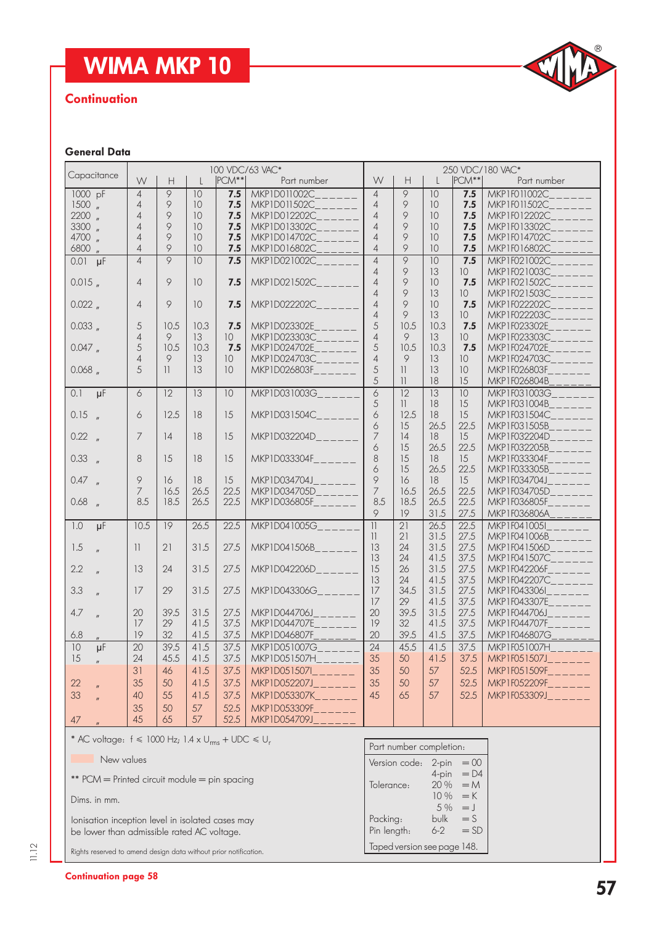

#### **Continuation**

## General Data

|                                                                       | 100 VDC/63 VAC*          |                 |                 |                 |                                                                    | 250 VDC/180 VAC*         |                         |                             |                 |                                                                       |
|-----------------------------------------------------------------------|--------------------------|-----------------|-----------------|-----------------|--------------------------------------------------------------------|--------------------------|-------------------------|-----------------------------|-----------------|-----------------------------------------------------------------------|
| Capacitance                                                           | W                        | H               | $\mathsf{L}$    | PCM**           | Part number                                                        | W                        | H                       | L                           | $ PCM^{**} $    | Part number                                                           |
|                                                                       |                          | $\overline{9}$  |                 |                 |                                                                    |                          | 9                       |                             |                 |                                                                       |
| 1000 pF                                                               | $\overline{4}$           |                 | 10              | 7.5             | MKP1D011002C                                                       | $\overline{4}$           |                         | 10                          | 7.5             | MKP1F011002C                                                          |
| $1500$ $\mu$                                                          | $\overline{4}$           | 9               | 10              | 7.5             | MKP1D011502C                                                       | 4                        | 9                       | 10                          | 7.5             | MKP1F011502C                                                          |
| $2200$ $\frac{1}{2}$                                                  | $\overline{4}$           | 9               | 10              | 7.5             | MKP1D012202C                                                       | 4                        | 9                       | 10                          | 7.5             | MKP1F012202C                                                          |
| 3300 "                                                                | $\overline{4}$           | 9               | 10              | 7.5             | MKP1D013302C                                                       | $\overline{4}$           | 9                       | 10                          | 7.5             | MKP1F013302C                                                          |
| 4700 "                                                                | $\overline{4}$           | 9               | 10              | 7.5             | MKP1D014702C                                                       | $\overline{4}$           | 9                       | 10                          | 7.5             | MKP1F014702C                                                          |
| 6800 "                                                                | $\overline{4}$           | 9               | 10              | 7.5             | MKP1D016802C                                                       | $\overline{4}$           | 9                       | 10                          | 7.5             | MKP1F016802C                                                          |
|                                                                       | $\overline{4}$           | $\overline{9}$  | $\overline{10}$ | 7.5             | MKP1D021002C                                                       | $\overline{4}$           | 9                       | 10                          | 7.5             | MKP1F021002C                                                          |
| $0.01$ $\mu$ F                                                        |                          |                 |                 |                 |                                                                    |                          |                         |                             |                 |                                                                       |
|                                                                       |                          |                 |                 |                 |                                                                    | $\overline{4}$           | 9                       | 13                          | 10 <sup>°</sup> | MKP1F021003C                                                          |
| 0.015                                                                 | $\overline{4}$           | 9               | 10              | 7.5             | MKP1D021502C______                                                 | $\overline{4}$           | 9                       | 10                          | 7.5             | MKP1F021502C                                                          |
|                                                                       |                          |                 |                 |                 |                                                                    | $\overline{\mathcal{A}}$ | 9                       | 13                          | 10 <sup>°</sup> | MKP1F021503C____                                                      |
| $0.022$ $_{\prime\prime}$                                             | $\overline{4}$           | 9               | 10              | 7.5             | MKP1D022202C______                                                 | $\overline{4}$           | 9                       | 10                          | 7.5             | MKP1F022202C                                                          |
|                                                                       |                          |                 |                 |                 |                                                                    | $\overline{4}$           | 9                       | 13                          | 10 <sup>°</sup> | MKP1F022203C____                                                      |
| $0.033$ $_{\prime\prime}$                                             | 5                        | 10.5            | 10.3            | 7.5             | MKP1D023302E                                                       | 5                        | 10.5                    | 10.3                        | 7.5             | MKP1F023302E____                                                      |
|                                                                       | $\overline{4}$           | 9               | 13              | 10 <sup>°</sup> | MKP1D023303C______                                                 | $\overline{4}$           | 9                       | 13                          | 10 <sup>°</sup> | MKP1F023303C______                                                    |
| 0.047                                                                 | 5                        | 10.5            | 10.3            | 7.5             | MKP1D024702E______                                                 | 5                        | 10.5                    | 10.3                        | 7.5             | $MKP1F024702E_{------}$                                               |
|                                                                       |                          |                 |                 |                 |                                                                    |                          |                         |                             |                 |                                                                       |
|                                                                       | $\overline{\mathcal{A}}$ | 9               | 13              | 10              | MKP1D024703C______                                                 | $\overline{4}$           | 9                       | 13                          | 10 <sup>°</sup> | $MKPIF024703C_{\_ \_ \_ \_ \_ \_ \_ \_ \_ \_ \_ \_ \_ \_ \_ \_ \_$    |
| $0.068$ $_{\prime\prime}$                                             | 5                        | $\mathbb{1}$    | 13              | 10 <sup>°</sup> | MKP1D026803F______                                                 | 5                        | 11                      | 13                          | 10              | MKP1F026803F                                                          |
|                                                                       |                          |                 |                 |                 |                                                                    | 5                        | 1                       | 18                          | 15              | MKP1F026804B                                                          |
| 0.1<br>$\overline{\mu}$ F                                             | 6                        | $\overline{12}$ | $\overline{13}$ | 10              | MKP1D031003G                                                       | $\overline{6}$           | $\overline{12}$         | $\overline{13}$             | 10              | MKP1F031003G                                                          |
|                                                                       |                          |                 |                 |                 |                                                                    | 5                        | $\vert \vert$           | 18                          | 15              | MKP1F031004B                                                          |
|                                                                       |                          |                 |                 | 15              | MKP1D031504C______                                                 |                          |                         |                             |                 |                                                                       |
| $0.15$ $_{\prime\prime}$                                              | 6                        | 12.5            | 18              |                 |                                                                    | 6                        | 12.5                    | 18                          | 15              | MKP1F031504C___                                                       |
|                                                                       |                          |                 |                 |                 |                                                                    | 6                        | 15                      | 26.5                        | 22.5            | MKP1F031505B                                                          |
| 0.22 <sub>''</sub>                                                    | 7                        | 14              | 18              | 15              | $MKP1D032204D_{------}$                                            | 7                        | 14                      | 18                          | 15              | MKP1F032204D______                                                    |
|                                                                       |                          |                 |                 |                 |                                                                    | 6                        | 15                      | 26.5                        | 22.5            | MKP1F032205B______                                                    |
| 0.33 <sub>n</sub>                                                     | 8                        | 15              | 18              | 15              | MKP1D033304F                                                       | 8                        | 15                      | 18                          | 15              | MKP1F033304F                                                          |
|                                                                       |                          |                 |                 |                 |                                                                    | 6                        | 15                      | 26.5                        | 22.5            | MKP1F033305B______                                                    |
| $0.47$ "                                                              | 9                        | 16              | 18              | 15              | $MKP1D034704J$ <sub>-----</sub>                                    | 9                        | 16                      | 18                          | 15              | MKP1F034704J                                                          |
|                                                                       | 7                        | 16.5            | 26.5            | 22.5            | MKP1D034705D______                                                 | $\overline{7}$           | 16.5                    | 26.5                        | 22.5            | MKP1F034705D______                                                    |
|                                                                       |                          |                 |                 |                 |                                                                    |                          |                         |                             |                 |                                                                       |
| $0.68$ "                                                              | 8.5                      | 18.5            | 26.5            | 22.5            | MKP1D036805F______                                                 | 8.5                      | 18.5                    | 26.5                        | 22.5            | MKP1F036805F                                                          |
|                                                                       |                          |                 |                 |                 |                                                                    | 9                        | 19                      | 31.5                        | 27.5            | MKP1F036806A                                                          |
| 1.0<br>$\mu$ F                                                        | 10.5                     | 19              | 26.5            | 22.5            | MKP1D041005G______                                                 | $\overline{  }$          | 21                      | 26.5                        | 22.5            | MKP1F0410051                                                          |
|                                                                       |                          |                 |                 |                 |                                                                    | $\overline{11}$          | 21                      | 31.5                        | 27.5            | $MKPIF041006B_{\_ \_ \_ \_ \_ \_ \_ \_ \_ \_ \_ \_ \_ \_ \_ \_ \_ \_$ |
| 1.5<br>$\mathbf{u}$                                                   | $\overline{\mathcal{H}}$ | 21              | 31.5            | 27.5            | MKP1D041506B                                                       | 13                       | 24                      | 31.5                        | 27.5            | MKP1F041506D                                                          |
|                                                                       |                          |                 |                 |                 |                                                                    | 13                       | 24                      | 41.5                        | 37.5            | MKP1F041507C____                                                      |
| 2.2                                                                   | 13                       | 24              | 31.5            | 27.5            | $MKP1D042206D_{------}$                                            | 15                       | 26                      | 31.5                        | 27.5            | MKP1F042206F______                                                    |
|                                                                       |                          |                 |                 |                 |                                                                    |                          |                         |                             |                 |                                                                       |
|                                                                       |                          |                 |                 |                 |                                                                    | 13                       | 24                      | 41.5                        | 37.5            | MKP1F042207C____                                                      |
| 3.3                                                                   | 17                       | 29              | 31.5            | 27.5            | MKP1D043306G______                                                 | 17                       | 34.5                    | 31.5                        | 27.5            | $MKPIF043306I_{------}$                                               |
|                                                                       |                          |                 |                 |                 |                                                                    | 17                       | 29                      | 41.5                        | 37.5            | $MKPIF043307E_{\_ \_ \_ \_ \_ \_ \_ \_ \_ \_ \_ \_ \_ \_ \_ \_ \_$    |
| 4.7                                                                   | 20                       | 39.5            | 31.5            | 27.5            | MKP1D044706.J                                                      | 20                       | 39.5                    | 31.5                        | 27.5            | $MKPIF044706J$ <sub>_____</sub> _                                     |
|                                                                       | 17                       | 29              | 41.5            | 37.5            | MKP1D044707E______                                                 | 19                       | 32                      | 41.5                        | 37.5            | $MKPIF044707F_{------}$                                               |
| 6.8                                                                   | 19                       | 32              | 41.5            | 37.5            | MKP1D046807F                                                       | 20                       | 39.5                    | 41.5                        | 37.5            | MKP1F046807G                                                          |
| 10<br>$\mu$ F                                                         | 20                       | 39.5            | 41.5            | 37.5            | MKP1D051007G                                                       | $\overline{24}$          | 45.5                    | 41.5                        | 37.5            | MKP1F051007H                                                          |
|                                                                       |                          |                 |                 |                 |                                                                    |                          |                         |                             |                 |                                                                       |
| 15                                                                    | $24\,$                   | 45.5            | 41.5            | 37.5            | $MKP1D051507H_{\_\_\_\_\_\_\_\_\_\_\_\_\_\_\_\_\_$                 | 35                       | 50                      | 41.5                        | 37.5            | MKP1F051507J____                                                      |
|                                                                       | 31                       | 46              | 41.5            | 37.5            | $MKP1D051507I_{\_ \_ \_ \_ \_ \_ \_ \_ \_ \_ \_ \_ \_ \_ \_ \_ \_$ | 35                       | 50                      | 57                          | 52.5            | $MKPIF051509F_{\_ \_ \_ \_ \_ \_ \_ \_ \_ \_ \_ \_ \_ \_ \_ \_ \_$    |
| 22                                                                    | 35                       | 50              | 41.5            | 37.5            | $MKP1D052207J_{----}$                                              | 35                       | 50                      | 57                          | 52.5            | MKP1F052209F______                                                    |
| 33                                                                    | 40                       | 55              | 41.5            | 37.5            | MKP1D053307K______                                                 | 45                       | 65                      | 57                          | 52.5            | $MKPIF053309J_{\_ \_ \_ \_ \_ \_ \_ \_ \_ \_ \_ \_ \_ \_$             |
|                                                                       |                          |                 |                 |                 |                                                                    |                          |                         |                             |                 |                                                                       |
|                                                                       | 35                       | 50              | 57              | 52.5            | MKP1D053309F______                                                 |                          |                         |                             |                 |                                                                       |
| 47                                                                    | 45                       | 65              | 57              | 52.5            | MKP1D054709J______                                                 |                          |                         |                             |                 |                                                                       |
|                                                                       |                          |                 |                 |                 |                                                                    |                          |                         |                             |                 |                                                                       |
|                                                                       |                          |                 |                 |                 |                                                                    |                          |                         |                             |                 |                                                                       |
| * AC voltage: $f \le 1000$ Hz; 1.4 x U <sub>rms</sub> + UDC $\le U_r$ |                          |                 |                 |                 |                                                                    |                          | Part number completion: |                             |                 |                                                                       |
| New values                                                            |                          |                 |                 |                 |                                                                    |                          |                         | Version code: $2$ -pin = 00 |                 |                                                                       |
|                                                                       |                          |                 |                 |                 |                                                                    |                          |                         |                             |                 |                                                                       |
| ** PCM = Printed circuit module = pin spacing                         |                          |                 |                 |                 |                                                                    |                          |                         | 4-pin                       | $= D4$          |                                                                       |
|                                                                       |                          |                 |                 |                 |                                                                    | Tolerance:               |                         | 20 %                        | $=M$            |                                                                       |
| Dims. in mm.                                                          |                          |                 |                 |                 |                                                                    |                          |                         | 10 %                        | $=$ K           |                                                                       |
|                                                                       |                          |                 |                 |                 |                                                                    |                          |                         | 5 %                         | $=$ $\sqrt{ }$  |                                                                       |
| lonisation inception level in isolated cases may                      |                          |                 |                 |                 |                                                                    | Packing:                 |                         | bulk                        | $=$ S           |                                                                       |
|                                                                       |                          |                 |                 |                 |                                                                    | Pin length:              |                         | $6 - 2$                     | $=$ SD          |                                                                       |
| be lower than admissible rated AC voltage.                            |                          |                 |                 |                 |                                                                    |                          |                         |                             |                 |                                                                       |
| Rights reserved to amend design data without prior notification.      |                          |                 |                 |                 |                                                                    |                          |                         | Taped version see page 148. |                 |                                                                       |
|                                                                       |                          |                 |                 |                 |                                                                    |                          |                         |                             |                 |                                                                       |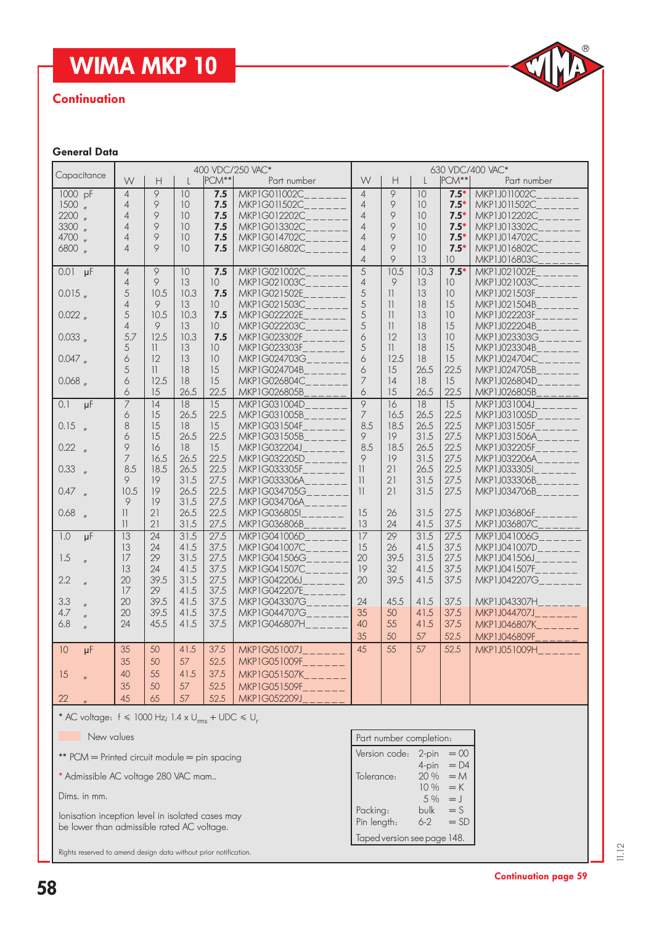

#### **Continuation**

#### General Data

|                                        |                |                                                      |                 |                 | 400 VDC/250 VAC*    | 630 VDC/400 VAC* |                                                                                                       |                 |                 |                                                              |
|----------------------------------------|----------------|------------------------------------------------------|-----------------|-----------------|---------------------|------------------|-------------------------------------------------------------------------------------------------------|-----------------|-----------------|--------------------------------------------------------------|
| Capacitance                            | W              | $\mathsf{H}% _{0}\left( \mathcal{M}_{0}\right) ^{T}$ | $\perp$         | $ PCM** $       | Part number         | W                | $\mathsf{H}% _{0}\left( \mathcal{M}_{0}\right) ^{T}=\mathsf{H}_{0}\left( \mathcal{M}_{0}\right) ^{T}$ | L               | $ PCM** $       | Part number                                                  |
| 1000 pF                                | $\overline{4}$ | 9                                                    | 10              | 7.5             | <b>MKP1G011002C</b> | $\overline{4}$   | 9                                                                                                     | $\overline{10}$ | $7.5*$          | <b>MKP1J011002C</b>                                          |
| $1500$ $\frac{1}{10}$                  | $\overline{4}$ | 9                                                    | 10              | 7.5             | MKP1G011502C        | $\overline{4}$   | 9                                                                                                     | 10              | $7.5*$          | MKP1J011502C                                                 |
| $2200$ $\frac{1}{10}$                  | $\overline{4}$ | 9                                                    | 10              | 7.5             | MKP1G012202C        | $\overline{4}$   | 9                                                                                                     | 10              | $7.5*$          | MKP1J012202C                                                 |
| 3300 "                                 | $\overline{4}$ | 9                                                    | 10              | 7.5             | MKP1G013302C        | $\overline{4}$   | 9                                                                                                     | 10              | $7.5*$          | MKP1J013302C                                                 |
| 4700 "                                 | $\overline{4}$ | 9                                                    | 10              | 7.5             | MKP1G014702C        | $\overline{4}$   | 9                                                                                                     | 10              | $7.5*$          | MKP1J014702C                                                 |
| 6800 "                                 | $\overline{4}$ | 9                                                    | 10              | 7.5             | MKP1G016802C___     | $\overline{4}$   | 9                                                                                                     | 10              | $7.5*$          | MKP1J016802C                                                 |
|                                        |                |                                                      |                 |                 |                     | $\overline{4}$   | 9                                                                                                     | 13              | 10 <sup>°</sup> | MKP1J016803C                                                 |
| $0.01 \text{ µF}$                      | $\overline{4}$ | $\overline{9}$                                       | 10              | 7.5             | MKP1G021002C        | $\overline{5}$   | 10.5                                                                                                  | 10.3            | $7.5*$          | MKP1J021002E                                                 |
|                                        | $\overline{4}$ | 9                                                    | 13              | $10-10$         | MKP1G021003C        | $\overline{4}$   | 9                                                                                                     | 13              | 10 <sup>°</sup> | MKP1J021003C______                                           |
| 0.015                                  | 5              | 10.5                                                 | 10.3            | 7.5             | MKP1G021502E        | 5                | 11                                                                                                    | 13              | 10              | MKP1J021503F____                                             |
|                                        | $\overline{4}$ | 9                                                    | 13              | 10 <sup>°</sup> | MKP1G021503C        | 5                | 11                                                                                                    | 18              | 15              | $MKP1J021504B$ <sub>______</sub>                             |
| 0.022                                  | 5              | 10.5                                                 | 10.3            | 7.5             | MKP1G022202E        | 5                | 11                                                                                                    | 13              | 10              | MKP1J022203F____<br>$-$                                      |
|                                        | $\overline{4}$ | 9                                                    | 13              | 10 <sup>°</sup> | MKP1G022203C        | 5                | 11                                                                                                    | 18              | 15              | MKP1J022204B                                                 |
| $0.033$ $_{\prime\prime}$              | 5.7            | 12.5                                                 | 10.3            | 7.5             | MKP1G023302F        | 6                | 12                                                                                                    | 13              | 10              | MKP1J023303G                                                 |
|                                        | 5              | 11                                                   | 13              | 10 <sup>°</sup> | MKP1G023303F        | 5                | 11                                                                                                    | 18              | 15              | MKP1J023304B______                                           |
| 0.047                                  | 6              | 12                                                   | 13              | 10 <sup>°</sup> | MKP1G024703G        | $\acute{\circ}$  | 12.5                                                                                                  | 18              | 15              | MKP1J024704C____                                             |
|                                        | 5              | $\vert \vert$                                        | 18              | 15              | MKP1G024704B        | 6                | 15                                                                                                    | 26.5            | 22.5            | MKP1J024705B                                                 |
| 0.068                                  | 6              | 12.5                                                 | 18              | 15              | MKP1G026804C        | $\overline{7}$   | 14                                                                                                    | 18              | 15              | MKP1J026804D___                                              |
|                                        | 6              | 15                                                   | 26.5            | 22.5            | MKP1G026805B        | 6                | 15                                                                                                    | 26.5            | 22.5            | MKP1J026805B                                                 |
| 0.1<br>$\overline{\mu}$ F              | $\overline{7}$ | $\overline{14}$                                      | $\overline{18}$ | $\overline{15}$ | MKP1G031004D        | $\overline{9}$   | $\overline{16}$                                                                                       | $\overline{18}$ | $\overline{15}$ | MKP1J031004J                                                 |
|                                        | 6              | 15                                                   | 26.5            | 22.5            | MKP1G031005B        | $\overline{7}$   | 16.5                                                                                                  | 26.5            | 22.5            | MKP1J031005D____                                             |
| $0.15$ "                               | 8              | 15                                                   | 18              | 15              | MKP1G031504F        | 8.5              | 18.5                                                                                                  | 26.5            | 22.5            | $MKP1J031505F_{\_---\_---}$                                  |
|                                        | 6              | 15                                                   | 26.5            | 22.5            | MKP1G031505B        | 9                | 19                                                                                                    | 31.5            | 27.5            | $MKP1J031506A_{\_ \_ \_ \_ \_ \_ \_ \_ \_ \_ \_ \_ \_ \_ \_$ |
| 0.22 n                                 | 9              | 16                                                   | 18              | 15              | MKP1G032204J_       | 8.5              | 18.5                                                                                                  | 26.5            | 22.5            | $MKP1J032205F_{\_---\_---}$                                  |
|                                        | $\overline{7}$ | 16.5                                                 | 26.5            | 22.5            | MKP1G032205D        | 9                | 19                                                                                                    | 31.5            | 27.5            | MKP1J032206A____                                             |
| $0.33$ $_{\prime\prime}$               | 8.5            | 18.5                                                 | 26.5            | 22.5            | MKP1G033305F        | 11               | 21                                                                                                    | 26.5            | 22.5            | $MKP1J033305I_{------}$                                      |
|                                        | 9              | 19                                                   | 31.5            | 27.5            | MKP1G033306A___     | 11               | 21                                                                                                    | 31.5            | 27.5            | MKP1J033306B____<br>$\overline{a}$                           |
| 0.47                                   | 10.5           | 19                                                   | 26.5            | 22.5            | MKP1G034705G___     | 11               | 21                                                                                                    | 31.5            | 27.5            | $MKP1J034706B_{------}$                                      |
|                                        | 9              | 19                                                   | 31.5            | 27.5            | MKP1G034706A        |                  |                                                                                                       |                 |                 |                                                              |
| $0.68$ $\frac{1}{2}$                   | $\mathbf{1}$   | 21                                                   | 26.5            | 22.5            | MKP1G036805I        | 15               | 26                                                                                                    | 31.5            | 27.5            | MKP1J036806F                                                 |
|                                        | 11             | 21                                                   | 31.5            | 27.5            | MKP1G036806B        | 13               | 24                                                                                                    | 41.5            | 37.5            | MKP1J036807C                                                 |
| $\overline{1.0}$<br>$\overline{\mu}$ F | 13             | 24                                                   | 31.5            | 27.5            | MKP1G041006D        | $\overline{17}$  | $\overline{29}$                                                                                       | 31.5            | 27.5            | MKP1J041006G______                                           |
|                                        | 13             | 24                                                   | 41.5            | 37.5            | MKP1G041007C        | 15               | 26                                                                                                    | 41.5            | 37.5            | MKP1J041007D______                                           |
| 1.5<br>$\mathbf{u}$                    | 17             | 29                                                   | 31.5            | 27.5            | MKP1G041506G        | 20               | 39.5                                                                                                  | 31.5            | 27.5            | $MKP1J041506J$ <sub>-----</sub>                              |
|                                        | 13             | 24                                                   | 41.5            | 37.5            | MKP1G041507C____    | 19               | 32                                                                                                    | 41.5            | 37.5            | MKP1J041507F______                                           |
| 2.2<br>$\mathbf{u}$                    | 20             | 39.5                                                 | 31.5            | 27.5            | MKP1G042206J        | 20               | 39.5                                                                                                  | 41.5            | 37.5            | MKP1J042207G______                                           |
|                                        | 17             | 29                                                   | 41.5            | 37.5            | MKP1G042207E____    |                  |                                                                                                       |                 |                 |                                                              |
| 3.3                                    | 20             | 39.5                                                 | 41.5            | 37.5            | MKP1G043307G_____   | 24               | 45.5                                                                                                  | 41.5            | 37.5            | MKP1J043307H______                                           |
| 4.7                                    | 20             | 39.5                                                 | 41.5            | 37.5            | MKP1G044707G_____   | 35               | 50                                                                                                    | 41.5            | 37.5            | MKP1J044707J______                                           |
| 6.8                                    | 24             | 45.5                                                 | 41.5            | 37.5            | MKP1G046807H_____   | 40               | 55                                                                                                    | 41.5            | 37.5            | $MKP1J046807K_{------}$                                      |
|                                        |                |                                                      |                 |                 |                     | 35               | 50                                                                                                    | 57              | 52.5            | $MKP1J046809F_{_________111121}$                             |
| 10<br>uF                               | 35             | 50                                                   | 41.5            | 37.5            | MKP1G051007J______  | 45               | 55                                                                                                    | 57              | 52.5            | MKP1J051009H                                                 |
|                                        | 35             | 50                                                   | 57              | 52.5            | MKP1G051009F______  |                  |                                                                                                       |                 |                 |                                                              |
| 15                                     | 40             | 55                                                   | 41.5            | 37.5            | MKP1G051507K______  |                  |                                                                                                       |                 |                 |                                                              |
|                                        |                |                                                      |                 |                 |                     |                  |                                                                                                       |                 |                 |                                                              |
|                                        | 35             | 50                                                   | 57              | 52.5            | MKP1G051509F______  |                  |                                                                                                       |                 |                 |                                                              |
| 22                                     | 45             | 65                                                   | 57              | 52.5            | MKP1G052209J        |                  |                                                                                                       |                 |                 |                                                              |

\* AC voltage:  $f \le 1000$  Hz;  $1.4 \times U_{rms} + \text{UDC} \le U_r$ 

New values

\*\* PCM = Printed circuit module = pin spacing

\* Admissible AC voltage 280 VAC mam..

Dims. in mm.

Ionisation inception level in isolated cases may be lower than admissible rated AC voltage.

Rights reserved to amend design data without prior notification.

| Part number completion:     |        |                    |  |  |  |  |  |  |
|-----------------------------|--------|--------------------|--|--|--|--|--|--|
| Version code:               | 2-pin  | $= 00$             |  |  |  |  |  |  |
|                             | 4-pin  | $= D4$             |  |  |  |  |  |  |
| Tolerance:                  | 20%    | $=M$               |  |  |  |  |  |  |
|                             | 10%    | $=$ K              |  |  |  |  |  |  |
|                             | $.5\%$ | $=$ $\overline{ }$ |  |  |  |  |  |  |
| Packing:                    | bulk   | $=$ S              |  |  |  |  |  |  |
| Pin length:                 | $6-2$  | $=$ SD             |  |  |  |  |  |  |
| Taped version see page 148. |        |                    |  |  |  |  |  |  |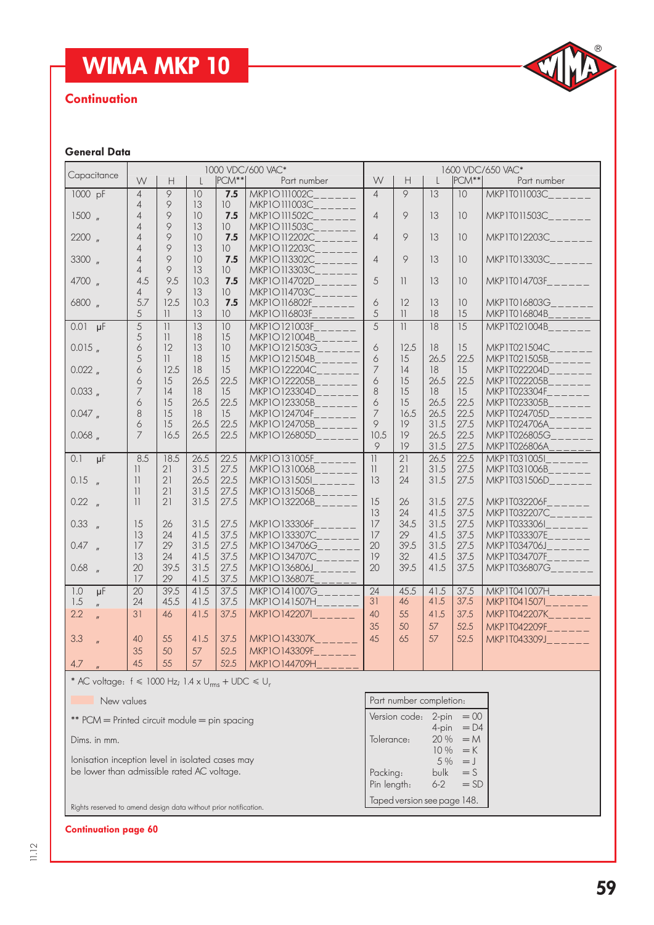

#### **Continuation**

#### General Data

| Capacitance                                                       |                         |                                                             |              |                 | 1000 VDC/600 VAC*                                                                                                                                                                                                                                                                                                                                                                                                                     | 1600 VDC/650 VAC* |                                                             |              |                 |                                                      |
|-------------------------------------------------------------------|-------------------------|-------------------------------------------------------------|--------------|-----------------|---------------------------------------------------------------------------------------------------------------------------------------------------------------------------------------------------------------------------------------------------------------------------------------------------------------------------------------------------------------------------------------------------------------------------------------|-------------------|-------------------------------------------------------------|--------------|-----------------|------------------------------------------------------|
|                                                                   | W                       | $\mathsf{H}% _{\mathbb{R}}^{1}\left( \mathbb{R}^{2}\right)$ |              | PCM**           | Part number                                                                                                                                                                                                                                                                                                                                                                                                                           | W                 | $\mathsf{H}% _{\mathbb{R}}^{1}\left( \mathbb{R}^{2}\right)$ | $\mathbf{I}$ | PCM**           | Part number                                          |
| 1000 pF                                                           | $\overline{4}$          | 9                                                           | 10           | 7.5             | <b>MKP10111002C</b>                                                                                                                                                                                                                                                                                                                                                                                                                   | $\overline{4}$    | 9                                                           | 13           | 10              | <b>MKP1T011003C</b>                                  |
|                                                                   | $\overline{4}$          | 9                                                           | 13           | 10 <sup>°</sup> | MKP10111003C                                                                                                                                                                                                                                                                                                                                                                                                                          |                   |                                                             |              |                 |                                                      |
| 1500,                                                             | $\overline{4}$          | 9                                                           | 10           | 7.5             | MKP10111502C                                                                                                                                                                                                                                                                                                                                                                                                                          | $\overline{4}$    | 9                                                           | 13           | 10              | $MKP1T011503C_{------}$                              |
|                                                                   | $\overline{4}$          | 9                                                           | 13           | 10 <sup>°</sup> | MKP10111503C                                                                                                                                                                                                                                                                                                                                                                                                                          |                   |                                                             |              |                 |                                                      |
| $2200$ $\frac{1}{2}$                                              | $\overline{4}$          | 9                                                           | 10           | 7.5             | MKP10112202C___                                                                                                                                                                                                                                                                                                                                                                                                                       | $\overline{4}$    | $\circ$                                                     | 13           | 10              | MKP1T012203C                                         |
|                                                                   | $\overline{4}$          | 9                                                           | 13           | 10 <sup>°</sup> | MKP10112203C                                                                                                                                                                                                                                                                                                                                                                                                                          |                   |                                                             |              |                 |                                                      |
| $3300$ $\frac{1}{2}$                                              | $\overline{4}$          | 9                                                           | 10           | 7.5             | MKP10113302C                                                                                                                                                                                                                                                                                                                                                                                                                          | $\overline{4}$    | $\circ$                                                     | 13           | 10              | MKP1T013303C______                                   |
|                                                                   | $\overline{4}$          | 9                                                           | 13           | 10 <sup>°</sup> | MKP10113303C_                                                                                                                                                                                                                                                                                                                                                                                                                         |                   |                                                             |              |                 |                                                      |
| 4700 "                                                            | 4.5                     | 9.5                                                         | 10.3         | 7.5             | MKP10114702D                                                                                                                                                                                                                                                                                                                                                                                                                          | 5                 | 11                                                          | 13           | 10              | MKP1T014703F______                                   |
|                                                                   | $\overline{4}$          | 9                                                           | 13           | 10 <sup>°</sup> | <b>MKP10114703C</b>                                                                                                                                                                                                                                                                                                                                                                                                                   |                   |                                                             |              |                 |                                                      |
| 6800 "                                                            | 5.7                     | 12.5                                                        | 10.3         | 7.5             | MKP10116802F                                                                                                                                                                                                                                                                                                                                                                                                                          | 6                 | 12                                                          | 13           | 10              | MKP1T016803G______                                   |
|                                                                   | 5                       | $\mathbf{1}$                                                | 13           | 10              | MKP10116803F                                                                                                                                                                                                                                                                                                                                                                                                                          | 5                 | 11                                                          | 18           | 15              | MKP1T016804B                                         |
| $0.01 \text{ µF}$                                                 | $\overline{5}$          | 11                                                          | 13           | 10              | <b>MKP10121003F</b>                                                                                                                                                                                                                                                                                                                                                                                                                   | $\overline{5}$    | 11                                                          | 18           | $\overline{15}$ | MKP1T021004B                                         |
|                                                                   | 5                       | $\vert \vert$                                               | 18           | 15              | MKP10121004B                                                                                                                                                                                                                                                                                                                                                                                                                          |                   |                                                             |              |                 |                                                      |
| 0.015                                                             | 6                       | 12                                                          | 13           | 10              | MKP10121503G                                                                                                                                                                                                                                                                                                                                                                                                                          | 6                 | 12.5                                                        | 18           | 15              | MKP1T021504C                                         |
|                                                                   | 5                       | $\mathbb{1}$                                                | 18           | 15              | MKP10121504B                                                                                                                                                                                                                                                                                                                                                                                                                          | 6                 | 15                                                          | 26.5         | 22.5            | MKP1T021505B<br><u> 22222</u>                        |
| 0.022                                                             | 6                       | 12.5                                                        | 18           | 15              | MKP10122204C                                                                                                                                                                                                                                                                                                                                                                                                                          | $\overline{7}$    | 14                                                          | 18           | 15              | MKP1T022204D______                                   |
|                                                                   | 6                       | 15                                                          | 26.5         | 22.5            | MKP1O122205B                                                                                                                                                                                                                                                                                                                                                                                                                          | 6                 | 15                                                          | 26.5         | 22.5            | $MKP1T022205B$ <sub>_____</sub> __                   |
| $0.033$ $_{\prime\prime}$                                         | 7                       | 14                                                          | 18           | 15              | MKP1O123304D                                                                                                                                                                                                                                                                                                                                                                                                                          | 8                 | 15                                                          | 18           | 15              | MKP1T023304F_____                                    |
|                                                                   | 6                       | 15                                                          | 26.5         | 22.5            | MKP10123305B                                                                                                                                                                                                                                                                                                                                                                                                                          | 6                 | 15                                                          | 26.5         | 22.5            | MKP1T023305B                                         |
| 0.047                                                             | 8                       | 15                                                          | 18           | 15              | MKP10124704F______                                                                                                                                                                                                                                                                                                                                                                                                                    | $\overline{7}$    | 16.5                                                        | 26.5         | 22.5            | MKP1T024705D____                                     |
|                                                                   | 6                       | 15                                                          | 26.5         | 22.5            | MKP1O124705B                                                                                                                                                                                                                                                                                                                                                                                                                          | 9                 | 19                                                          | 31.5         | 27.5            | MKP1T024706A                                         |
| 0.068                                                             | 7                       | 16.5                                                        | 26.5         | 22.5            | MKP1O126805D                                                                                                                                                                                                                                                                                                                                                                                                                          | 10.5              | 19                                                          | 26.5         | 22.5            | MKP1T026805G                                         |
|                                                                   |                         |                                                             |              |                 |                                                                                                                                                                                                                                                                                                                                                                                                                                       | 9                 | 19                                                          | 31.5         | 27.5            | MKP1T026806A                                         |
| $\overline{0.1}$<br>$\overline{\mu}$ F                            | 8.5                     | 18.5                                                        | 26.5         | 22.5            | <b>MKP10131005F</b>                                                                                                                                                                                                                                                                                                                                                                                                                   | 11                | $\overline{21}$                                             | 26.5         | 22.5            | MKP1T0310051                                         |
|                                                                   | $\mathbf{1}$            | 21                                                          | 31.5         | 27.5            | $MKP1O131006B$ <sub>_____</sub> _                                                                                                                                                                                                                                                                                                                                                                                                     | $\mathbf{1}$      | 21                                                          | 31.5         | 27.5            | $MKP1T031006B_{\_\_\_\_\_\_\_\_\_\_\_\_\_\_\_\_\_\_$ |
| 0.15                                                              | 11                      | 21                                                          | 26.5         | 22.5            | MKP101315051<br>$\frac{1}{1-\frac{1}{1-\frac{1}{1-\frac{1}{1-\frac{1}{1-\frac{1}{1-\frac{1}{1-\frac{1}{1-\frac{1}{1-\frac{1}{1-\frac{1}{1-\frac{1}{1-\frac{1}{1-\frac{1}{1-\frac{1}{1-\frac{1}{1-\frac{1}{1-\frac{1}{1-\frac{1}{1-\frac{1}{1-\frac{1}{1-\frac{1}{1-\frac{1}{1-\frac{1}{1-\frac{1}{1-\frac{1}{1-\frac{1}{1-\frac{1}{1-\frac{1}{1-\frac{1}{1-\frac{1}{1-\frac{1}{1-\frac{1}{1-\frac{1}{1-\frac{1}{1-\frac{1}{1-\frac{1$ | 13                | 24                                                          | 31.5         | 27.5            | $MKP1T031506D_{------}$                              |
|                                                                   | $\overline{\mathbf{1}}$ | 21                                                          | 31.5         | 27.5            | $MKP1O131506B$ <sub>_____</sub> __                                                                                                                                                                                                                                                                                                                                                                                                    |                   |                                                             |              |                 |                                                      |
| 0.22 <sub>''</sub>                                                | 11                      | 21                                                          | 31.5         | 27.5            | MKP10132206B                                                                                                                                                                                                                                                                                                                                                                                                                          | 15                | 26                                                          | 31.5         | 27.5            | MKP1T032206F                                         |
|                                                                   |                         |                                                             |              |                 |                                                                                                                                                                                                                                                                                                                                                                                                                                       | 13                | 24                                                          | 41.5         | 37.5            | MKP1T032207C______                                   |
| 0.33 <sub>''</sub>                                                | 15                      | 26                                                          | 31.5         | 27.5            | MKP10133306F                                                                                                                                                                                                                                                                                                                                                                                                                          | 17                | 34.5                                                        | 31.5         | 27.5            |                                                      |
|                                                                   | 13                      | 24                                                          | 41.5         | 37.5            | MKP10133307C                                                                                                                                                                                                                                                                                                                                                                                                                          | 17                | 29                                                          | 41.5         | 37.5            | $MKP1T033307E_{\_---\_---}$                          |
| 0.47 n                                                            | 17                      | 29                                                          | 31.5         | 27.5            | MKP10134706G                                                                                                                                                                                                                                                                                                                                                                                                                          | 20                | 39.5                                                        | 31.5         | 27.5            | MKP1T034706J______                                   |
|                                                                   | 13                      | 24                                                          | 41.5<br>31.5 | 37.5            | MKP10134707C______                                                                                                                                                                                                                                                                                                                                                                                                                    | 19                | 32                                                          | 41.5         | 37.5            | MKP1T034707F______                                   |
| $0.68$ "                                                          | 20                      | 39.5                                                        |              | 27.5            | MKP10136806J                                                                                                                                                                                                                                                                                                                                                                                                                          | 20                | 39.5                                                        | 41.5         | 37.5            | MKP1T036807G______                                   |
|                                                                   | 17                      | 29                                                          | 41.5         | 37.5            | MKP10136807E                                                                                                                                                                                                                                                                                                                                                                                                                          |                   |                                                             |              |                 |                                                      |
| $\overline{1.0}$<br>$\overline{\mu}$ F                            | $\overline{20}$         | 39.5                                                        | 41.5         | 37.5            | MKP10141007G                                                                                                                                                                                                                                                                                                                                                                                                                          | $\overline{24}$   | 45.5                                                        | 41.5         | 37.5            | $MKP1T041007H$ <sub>______</sub>                     |
| 1.5                                                               | 24                      | 45.5                                                        | 41.5         | 37.5            | $MKP1O141507H$ <sub>______</sub>                                                                                                                                                                                                                                                                                                                                                                                                      | 31                | 46                                                          | 41.5         | 37.5            | MKP1T0415071______                                   |
| 2.2                                                               | 31                      | 46                                                          | 41.5         | 37.5            | MKP101422071______                                                                                                                                                                                                                                                                                                                                                                                                                    | 40                | 55                                                          | 41.5         | 37.5            | MKP1T042207K______                                   |
|                                                                   |                         |                                                             |              |                 |                                                                                                                                                                                                                                                                                                                                                                                                                                       | 35                | 50                                                          | 57           | 52.5            | MKP1T042209F______                                   |
| 3.3                                                               | 40                      | 55                                                          | 41.5         | 37.5            | $MKP1O143307K_{\_---\_---}$                                                                                                                                                                                                                                                                                                                                                                                                           | 45                | 65                                                          | 57           | 52.5            | MKP1T043309J______                                   |
|                                                                   | 35                      | 50                                                          | 57           | 52.5            | MKP10143309F______                                                                                                                                                                                                                                                                                                                                                                                                                    |                   |                                                             |              |                 |                                                      |
| 4.7                                                               | 45                      | 55                                                          | 57           | 52.5            | MKP10144709H                                                                                                                                                                                                                                                                                                                                                                                                                          |                   |                                                             |              |                 |                                                      |
| * AC voltage: $f \le 1000$ Hz; $1.4 \times U_{rms} + UDC \le U_r$ |                         |                                                             |              |                 |                                                                                                                                                                                                                                                                                                                                                                                                                                       |                   |                                                             |              |                 |                                                      |
|                                                                   |                         |                                                             |              |                 |                                                                                                                                                                                                                                                                                                                                                                                                                                       |                   |                                                             |              |                 |                                                      |

| New values                                                                                     | Part number completion:                       |                         |  |  |
|------------------------------------------------------------------------------------------------|-----------------------------------------------|-------------------------|--|--|
| ** PCM = Printed circuit module = pin spacing                                                  | Version code: $2$ -pin = 00<br>4-pin = D4     |                         |  |  |
| Dims. in mm.                                                                                   | Tolerance: $20\% = M$                         |                         |  |  |
| lonisation inception level in isolated cases may<br>be lower than admissible rated AC voltage. | Packing: $bulk = S$<br>Pin length: $6-2 = SD$ | $10\% = K$<br>$5\% = J$ |  |  |
| Rights reserved to amend design data without prior notification.                               | Taped version see page 148.                   |                         |  |  |

#### Continuation page 60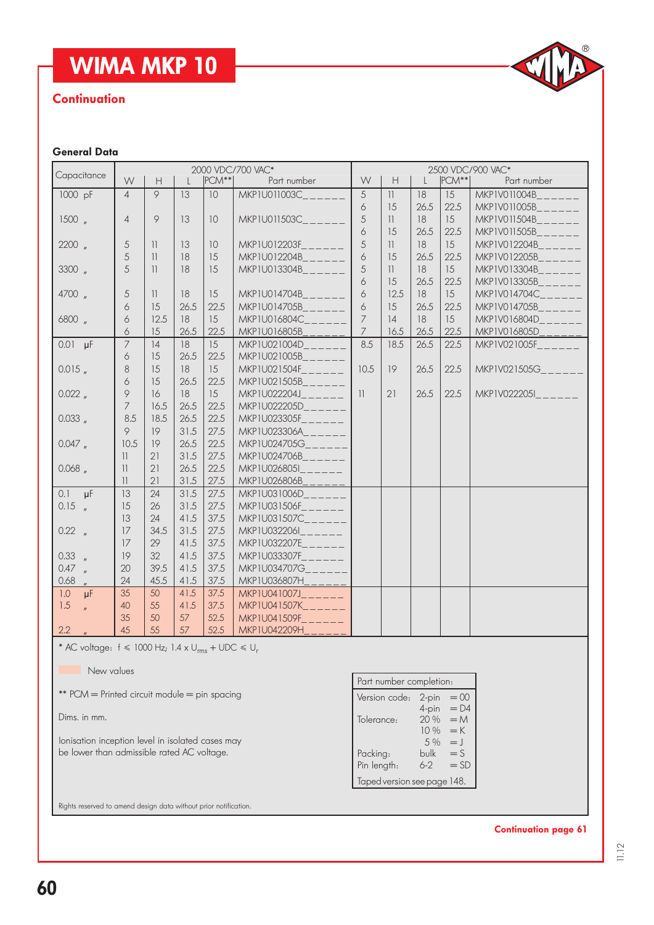#### **Continuation**

# $^{\circledR}$

#### General Data

| Capacitance                |                |                                                               |      | 2000 VDC/700 VAC*<br>2500 VDC/900 VAC* |                                                     |                |                    |              |           |                                   |
|----------------------------|----------------|---------------------------------------------------------------|------|----------------------------------------|-----------------------------------------------------|----------------|--------------------|--------------|-----------|-----------------------------------|
|                            | W              | $\mathsf{H}% _{\mathbb{R}}^{1}\!\left( \mathbb{R}^{3}\right)$ |      | $ PCM^{**} $                           | Part number                                         | W              | $\mathsf{H}%$      | $\mathsf{L}$ | $ PCM** $ | Part number                       |
| 1000 pF                    | $\overline{4}$ | $\circ$                                                       | 13   | 10                                     | MKP1U011003C_                                       | 5              | 11                 | 18           | 15        | MKP1V011004B                      |
|                            |                |                                                               |      |                                        |                                                     | 6              | 15                 | 26.5         | 22.5      |                                   |
| 1500,                      | $\overline{4}$ | 9                                                             | 13   | 10                                     | MKP1U011503C_<br><u>a sa san</u>                    | 5              | 11                 | 18           | 15        | $MKPIV011504B_{------}$           |
|                            |                |                                                               |      |                                        |                                                     | 6              | 15                 | 26.5         | 22.5      | MKP1V011505B______                |
| $2200$ $\frac{1}{2}$       | 5              | $\overline{\mathcal{L}}$                                      | 13   | 10 <sup>°</sup>                        | MKP1U012203F<br>$\equiv$ $\equiv$ $\equiv$ $\equiv$ | 5              | 11                 | 18           | 15        | MKP1V012204B______                |
|                            | 5              | $\overline{\phantom{a}}$                                      | 18   | 15                                     | MKP1U012204B______                                  | 6              | 15                 | 26.5         | 22.5      | $MKPIV012205B$ <sub>-----</sub>   |
| 3300 "                     | 5              | $\overline{\phantom{a}}$                                      | 18   | 15                                     | $MKP1U013304B$ <sub>_____</sub> _                   | 5              | 11                 | 18           | 15        | $MKPIV013304B$ <sub>-----</sub>   |
|                            |                |                                                               |      |                                        |                                                     | 6              | 15                 | 26.5         | 22.5      | MKP1V013305B______                |
| 4700 "                     | 5              | 11                                                            | 18   | 15                                     | MKP1U014704B<br>6<br>12.5<br>18<br>15               |                | MKPIV014704C______ |              |           |                                   |
|                            | 6              | 15                                                            | 26.5 | 22.5                                   | $MKP1U014705B_{------}$                             | 6              | 15                 | 26.5         | 22.5      | $MKPIV014705B$ <sub>_____</sub> _ |
| 6800 "                     | 6              | 12.5                                                          | 18   | 15                                     | MKP1U016804C                                        | $\overline{7}$ | 14                 | 18           | 15        | MKP1V016804D______                |
|                            | 6              | 15                                                            | 26.5 | 22.5                                   | MKP1U016805B                                        | $\overline{7}$ | 16.5               | 26.5         | 22.5      | MKP1V016805D<br><u> Liston</u>    |
| $0.01 \text{ }\mu\text{F}$ | $\overline{7}$ | 14                                                            | 18   | 15                                     | MKP1U021004D                                        | 8.5            | 18.5               | 26.5         | 22.5      | MKP1V021005F                      |
|                            | 6              | 15                                                            | 26.5 | 22.5                                   | MKP1U021005B______                                  |                |                    |              |           |                                   |
| 0.015                      | 8              | 15                                                            | 18   | 15                                     | MKP1U021504F______                                  | 10.5           | 19                 | 26.5         | 22.5      | MKP1V021505G_______               |
|                            | 6              | 15                                                            | 26.5 | 22.5                                   | MKP1U021505B                                        |                |                    |              |           |                                   |
| 0.022                      | 9              | 16                                                            | 18   | 15                                     | MKP1U022204J_                                       | 11             | 21                 | 26.5         | 22.5      | MKP1V0222051 MKP1                 |
|                            | $\overline{7}$ | 16.5                                                          | 26.5 | 22.5                                   | MKP1U022205D______                                  |                |                    |              |           |                                   |
| 0.033                      | 8.5            | 18.5                                                          | 26.5 | 22.5                                   | $MKP1U023305F_{------}$                             |                |                    |              |           |                                   |
|                            | 9              | 19                                                            | 31.5 | 27.5                                   | MKP1U023306A______                                  |                |                    |              |           |                                   |
| 0.047                      | 10.5           | 19                                                            | 26.5 | 22.5                                   | MKP1U024705G______                                  |                |                    |              |           |                                   |
|                            | 11             | 21                                                            | 31.5 | 27.5                                   | MKP1U024706B______                                  |                |                    |              |           |                                   |
| 0.068                      | 11             | 21                                                            | 26.5 | 22.5                                   | MKP1U026805I______                                  |                |                    |              |           |                                   |
|                            | 11             | 21                                                            | 31.5 | 27.5                                   | MKP1U026806B                                        |                |                    |              |           |                                   |
| 0.1<br>$\mu$ F             | 13             | 24                                                            | 31.5 | 27.5                                   | MKP1U031006D______                                  |                |                    |              |           |                                   |
| $0.15$ $_{\prime\prime}$   | 15             | 26                                                            | 31.5 | 27.5                                   | $MKP1U031506F_{------}$                             |                |                    |              |           |                                   |
|                            | 13             | 24                                                            | 41.5 | 37.5                                   | MKP1U031507C______                                  |                |                    |              |           |                                   |
| 0.22 <sub>''</sub>         | 17             | 34.5                                                          | 31.5 | 27.5                                   | $MKP1U032206I_{-----}$                              |                |                    |              |           |                                   |
|                            | 17             | 29                                                            | 41.5 | 37.5                                   | $MKP1U032207E_{------}$                             |                |                    |              |           |                                   |
| 0.33 n                     | 19             | 32                                                            | 41.5 | 37.5                                   | MKP1U033307F______                                  |                |                    |              |           |                                   |
| 0.47 n                     | 20             | 39.5                                                          | 41.5 | 37.5                                   | MKP1U034707G______                                  |                |                    |              |           |                                   |
| 0.68                       | 24             | 45.5                                                          | 41.5 | 37.5                                   | MKP1U036807H______                                  |                |                    |              |           |                                   |
| 1.0<br>$\mu$ F             | 35             | 50                                                            | 41.5 | 37.5                                   | MKP1U041007J______                                  |                |                    |              |           |                                   |
| 1.5                        | 40             | 55                                                            | 41.5 | 37.5                                   | MKP1U041507K______                                  |                |                    |              |           |                                   |
|                            | 35             | 50                                                            | 57   | 52.5                                   | MKP1U041509F______                                  |                |                    |              |           |                                   |
| 2.2                        | 45             | 55                                                            | 57   | 52.5                                   | MKP1U042209H                                        |                |                    |              |           |                                   |

\* AC voltage:  $f \le 1000$  Hz;  $1.4 \times U_{rms} + \text{UDC} \le U_r$ 

New values

\*\* PCM = Printed circuit module = pin spacing

Dims. in mm.

Ionisation inception level in isolated cases may be lower than admissible rated AC voltage.

| Part number completion:     |        |            |  |  |  |  |  |
|-----------------------------|--------|------------|--|--|--|--|--|
| Version code:               | 2-pin  | $= 00$     |  |  |  |  |  |
|                             | 4-pin  | $= D4$     |  |  |  |  |  |
| Tolerance:                  | 20%    | $=M$       |  |  |  |  |  |
|                             | 10%    | $=$ K      |  |  |  |  |  |
|                             | $.5\%$ | $=$ $\Box$ |  |  |  |  |  |
| Packing:                    | bulk   | $=$ S      |  |  |  |  |  |
| Pin length:                 | $6-2$  | $=$ SD     |  |  |  |  |  |
| Taped version see page 148. |        |            |  |  |  |  |  |

Rights reserved to amend design data without prior notification.

Continuation page 61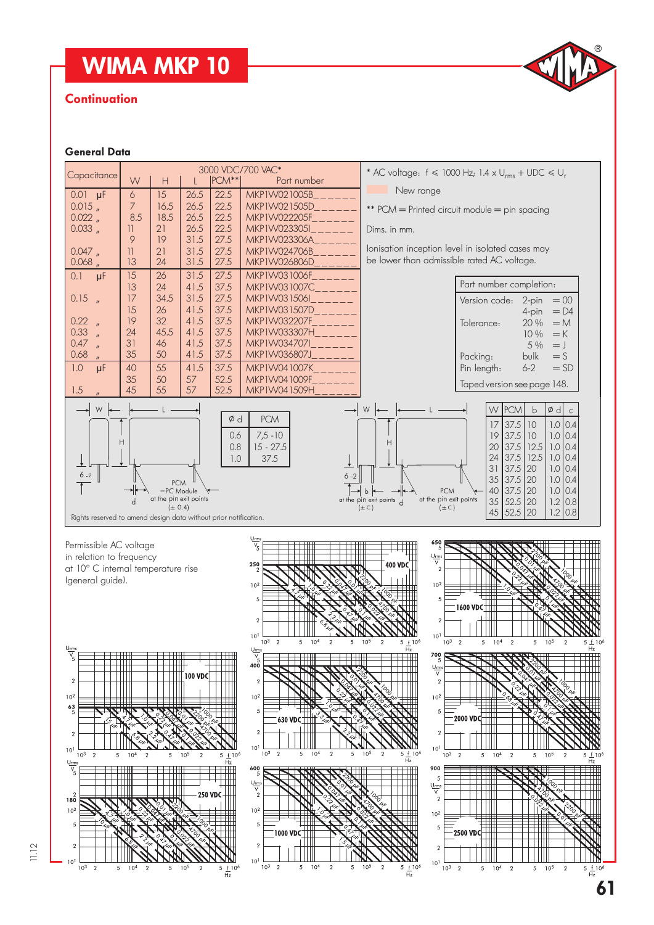#### **Continuation**

#### General Data



11.12

61

 $^{\circledR}$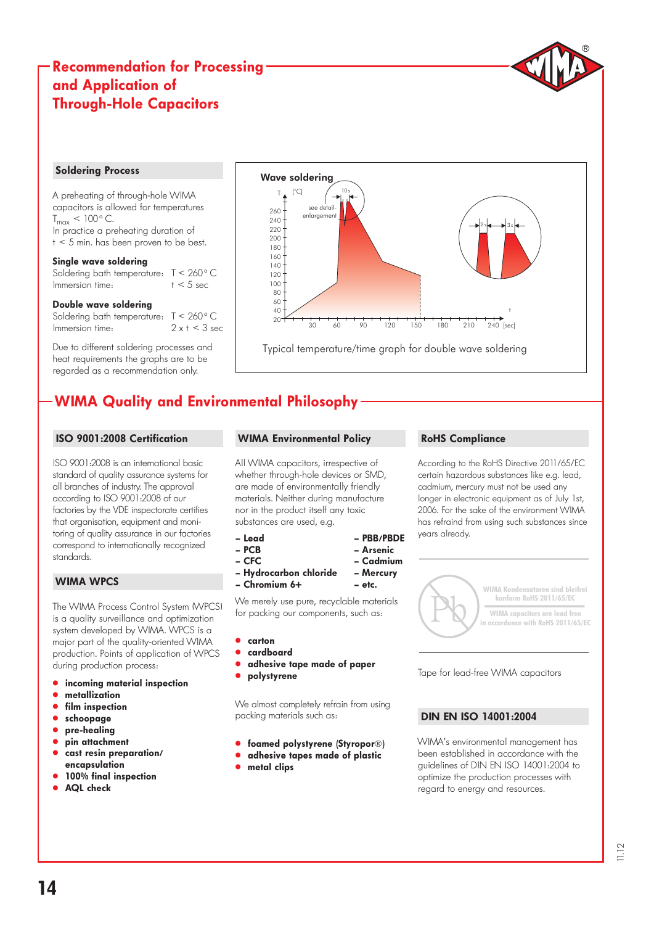#### Recommendation for Processing and Application of Through-Hole Capacitors

#### Soldering Process

A preheating of through-hole WIMA capacitors is allowed for temperatures  $T_{\text{max}}$  < 100 $^{\circ}$  C. In practice a preheating duration of  $t < 5$  min. has been proven to be best.

#### Single wave soldering

Soldering bath temperature:  $T < 260$  ° C<br>Immersion time:  $t < 5$  sec Immersion time:

#### Double wave soldering

Soldering bath temperature:  $T < 260$  ° C<br>Immersion time:  $2 \times t < 3$  sec Immersion time:

Due to different soldering processes and heat requirements the graphs are to be regarded as a recommendation only.



### WIMA Quality and Environmental Philosophy

#### ISO 9001:2008 Certification

ISO 9001:2008 is an international basic standard of quality assurance systems for all branches of industry. The approval according to ISO 9001:2008 of our factories by the VDE inspectorate certifies that organisation, equipment and monitoring of quality assurance in our factories correspond to internationally recognized standards.

#### WIMA WPCS

The WIMA Process Control System (WPCS) is a quality surveillance and optimization system developed by WIMA. WPCS is a major part of the quality-oriented WIMA production. Points of application of WPCS during production process:

- incoming material inspection
- metallization
- film inspection
- schoopage
- pre-healing
- pin attachment
- cast resin preparation/ encapsulation
- 100% final inspection
- AQL check

#### WIMA Environmental Policy

All WIMA capacitors, irrespective of whether through-hole devices or SMD, are made of environmentally friendly materials. Neither during manufacture nor in the product itself any toxic substances are used, e.g.

– Lead – PBB/PBDE

- PCB Arsenic
- CFC Cadmium
- Hydrocarbon chloride Mercury
- Chromium 6+ etc.

We merely use pure, recyclable materials for packing our components, such as:

- " carton
- " cardboard
- adhesive tape made of paper
- polystyrene

We almost completely refrain from using packing materials such as:

- **.** foamed polystyrene (Styropor®)
- **.** adhesive tapes made of plastic
- $•$  metal clips

#### RoHS Compliance

According to the RoHS Directive 2011/65/EC certain hazardous substances like e.g. lead, cadmium, mercury must not be used any longer in electronic equipment as of July 1st, 2006. For the sake of the environment WIMA has refraind from using such substances since years already.

 $^{\circledR}$ 



Tape for lead-free WIMA capacitors

#### DIN EN ISO 14001:2004

WIMA's environmental management has been established in accordance with the guidelines of DIN EN ISO 14001:2004 to optimize the production processes with regard to energy and resources.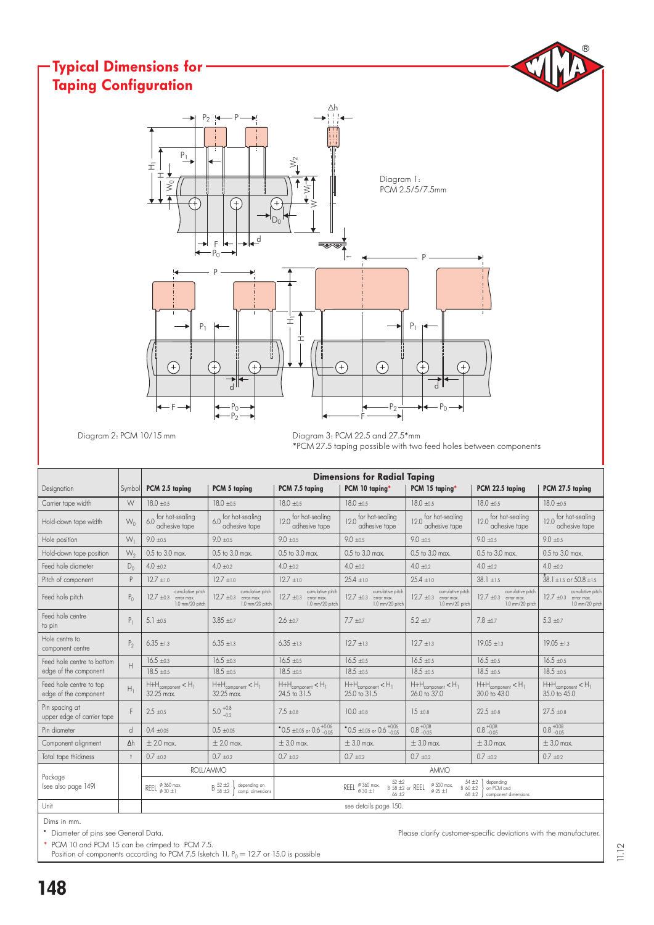#### $^{\circledR}$ Typical Dimensions for Taping ConfigurationΔh  $P_2$  is P  $P<sub>1</sub>$  $\hat{z}$  $\pm$ 工 Diagram 1: W0  $\lessgtr$ PCM 2.5/5/7.5mm Œ  $\geqslant$  $D_0$ ╒ ┟╾│╼╢┱╝  $P_0^-$ P  $\pm$ P  $P_1$   $\leftarrow$   $\left\| \begin{array}{c} \pm \end{array} \right\|$  $P<sub>1</sub>$ I  $(+)$  $(+)$  $\left( \begin{matrix} + \end{matrix} \right)$ G G d d  $P<sub>0</sub>$  $-P_2 \xrightarrow{1} P_0$ F  $-P<sub>2</sub>$ F

Diagram 2: PCM 10/15 mm

Diagram 3: PCM 22.5 and 27.5\*mm \*PCM 27.5 taping possible with two feed holes between components

|                                                  |                | <b>Dimensions for Radial Taping</b>                              |                                                                                        |                                                                                                                                                                                                                                      |                                                                                          |                                                                                          |                                                                                          |                                                                                          |  |  |  |
|--------------------------------------------------|----------------|------------------------------------------------------------------|----------------------------------------------------------------------------------------|--------------------------------------------------------------------------------------------------------------------------------------------------------------------------------------------------------------------------------------|------------------------------------------------------------------------------------------|------------------------------------------------------------------------------------------|------------------------------------------------------------------------------------------|------------------------------------------------------------------------------------------|--|--|--|
| Designation                                      | Symbol         | PCM 2.5 taping                                                   | PCM 5 taping                                                                           | PCM 7.5 taping                                                                                                                                                                                                                       | PCM 10 taping*                                                                           | PCM 15 taping*                                                                           | PCM 22.5 taping                                                                          | PCM 27.5 taping                                                                          |  |  |  |
| Carrier tape width                               | W              | $18.0 + 0.5$                                                     | $18.0 + 0.5$                                                                           | $18.0 + 0.5$                                                                                                                                                                                                                         | $18.0 + 0.5$                                                                             | $18.0 + 0.5$                                                                             | $18.0 + 0.5$                                                                             | $18.0 \pm 0.5$                                                                           |  |  |  |
| Hold-down tape width                             | $W_0$          | 6.0 for hot-sealing<br>adhesive tape                             | 6.0 for hot-sealing<br>adhesive tape                                                   | for hot-sealing<br>120<br>adhesive tape                                                                                                                                                                                              | 12.0 for hot-sealing<br>adhesive tape                                                    | 12.0 for hot-sealing<br>adhesive tape                                                    | 12.0 for hot-sealing<br>adhesive tape                                                    | for hot-sealing<br>adhesive tape                                                         |  |  |  |
| Hole position                                    | $W_1$          | $9.0 \pm 0.5$                                                    | $9.0 \pm 0.5$                                                                          | $9.0 \pm 0.5$                                                                                                                                                                                                                        | $9.0 \pm 0.5$                                                                            | $9.0 \pm 0.5$                                                                            | $9.0 \pm 0.5$                                                                            | $9.0 \pm 0.5$                                                                            |  |  |  |
| Hold-down tape position                          | $W_2$          | 0.5 to 3.0 max.                                                  | 0.5 to 3.0 max.                                                                        | 0.5 to 3.0 max.                                                                                                                                                                                                                      | $0.5$ to $3.0$ max.                                                                      | 0.5 to 3.0 max.                                                                          | 0.5 to 3.0 max.                                                                          | 0.5 to 3.0 max.                                                                          |  |  |  |
| Feed hole diameter                               | $D_0$          | $4.0 + 0.2$                                                      | $4.0 + 0.2$                                                                            | $4.0 + 0.2$                                                                                                                                                                                                                          | $4.0 \pm 0.2$                                                                            | $4.0 + 0.2$                                                                              | $4.0 + 0.2$                                                                              | $4.0 + 0.2$                                                                              |  |  |  |
| Pitch of component                               | P              | $12.7 + 1.0$                                                     | $12.7 \pm 1.0$                                                                         | $12.7 + 1.0$                                                                                                                                                                                                                         | $25.4 \pm 1.0$                                                                           | $25.4 \pm 1.0$                                                                           | $38.1 \pm 1.5$                                                                           | $38.1 \pm 1.5$ or $50.8 \pm 1.5$                                                         |  |  |  |
| Feed hole pitch                                  | $P_{0}$        | cumulative pitch<br>$12.7 \pm 0.3$ error max.<br>1.0 mm/20 pitch | cumulative pitch<br>$12.7 \pm 0.3$ error max.<br>1.0 mm/20 pitch                       | cumulative pitch<br>$12.7 \pm 0.3$ error max.<br>1.0 mm/20 pitch                                                                                                                                                                     | cumulative pitch<br>$12.7 \pm 0.3$<br>error max.<br>1.0 mm/20 pitch                      | cumulative pitch<br>$12.7 \pm 0.3$ error max.<br>1.0 mm/20 pitch                         | cumulative pitch<br>$12.7 \pm 0.3$ error max.<br>1.0 mm/20 pitch                         | cumulative pitch<br>$12.7 \pm 0.3$ error max.<br>1.0 mm/20 pitch                         |  |  |  |
| Feed hole centre<br>to pin                       | $P_1$          | 5.1 $\pm 0.5$                                                    | $3.85 + 0.7$                                                                           | $2.6 + 0.7$                                                                                                                                                                                                                          | $7.7 \pm 0.7$                                                                            | $5.2 + 0.7$                                                                              | $7.8 + 0.7$                                                                              | $5.3 \pm 0.7$                                                                            |  |  |  |
| Hole centre to<br>component centre               | P <sub>2</sub> | $6.35 \pm 1.3$                                                   | $6.35 + 1.3$                                                                           | $6.35 + 1.3$                                                                                                                                                                                                                         | $12.7 + 1.3$                                                                             | $12.7 + 1.3$                                                                             | $19.05 + 1.3$                                                                            | $19.05 + 1.3$                                                                            |  |  |  |
| Feed hole centre to bottom                       | H              | $16.5 \pm 0.3$                                                   | $16.5 \pm 0.3$                                                                         | $16.5 \pm 0.5$                                                                                                                                                                                                                       | $16.5 \pm 0.5$                                                                           | $16.5 \pm 0.5$                                                                           | $16.5 \pm 0.5$                                                                           | $16.5 \pm 0.5$                                                                           |  |  |  |
| edge of the component                            |                | $18.5 + 0.5$                                                     | $18.5 + 0.5$                                                                           | $18.5 + 0.5$                                                                                                                                                                                                                         | $18.5 + 0.5$                                                                             | $18.5 + 0.5$                                                                             | $18.5 + 0.5$                                                                             | $18.5 + 0.5$                                                                             |  |  |  |
| Feed hole centre to top<br>edge of the component | $H_1$          | $H + H_{\text{component}} < H_1$<br>32.25 max.                   | $\mathsf{H}{+}\mathsf{H}_{\mathsf{component}} < \mathsf{H}_{\mathsf{1}}$<br>32.25 max. | $H + H_{\text{component}} < H_1$<br>24.5 to 31.5                                                                                                                                                                                     | $\mathsf{H}{+}\mathsf{H}_{\mathsf{component}} < \mathsf{H}_{\mathsf{1}}$<br>25.0 to 31.5 | $\mathsf{H}{+}\mathsf{H}_{\mathsf{component}} < \mathsf{H}_{\mathsf{I}}$<br>26.0 to 37.0 | $\mathsf{H}{+}\mathsf{H}_{\mathsf{component}} < \mathsf{H}_{\mathsf{1}}$<br>30.0 to 43.0 | $\mathsf{H}{+}\mathsf{H}_{\mathsf{component}} < \mathsf{H}_{\mathsf{l}}$<br>35.0 to 45.0 |  |  |  |
| Pin spacing at<br>upper edge of carrier tape     | F              | $2.5 \pm 0.5$                                                    | $5.0^{+0.8}_{-0.2}$                                                                    | $7.5 + 0.8$                                                                                                                                                                                                                          | $10.0 + 0.8$                                                                             | $15 + 0.8$                                                                               | $22.5 \pm 0.8$                                                                           | $27.5 + 0.8$                                                                             |  |  |  |
| Pin diameter                                     | $\overline{d}$ | $0.4 \pm 0.05$                                                   | $0.5 \pm 0.05$                                                                         | $^{\bullet}$ 0.5 ±0.05 or 0.6 $^{+0.06}_{-0.05}$                                                                                                                                                                                     | $^{\bullet}$ 0.5 ±0.05 or 0.6 $^{+0,06}_{-0.05}$                                         | $0.8 + 0.08$                                                                             | $0.8 + 0.08$                                                                             | $0.8 + 0.08$                                                                             |  |  |  |
| Component alignment                              | $\Delta h$     | $\pm$ 2.0 max.                                                   | $\pm 2.0$ max.                                                                         | $\pm$ 3.0 max.                                                                                                                                                                                                                       | $\pm$ 3.0 max.                                                                           | $\pm$ 3.0 max.                                                                           | $\pm$ 3.0 max.                                                                           | $\pm$ 3.0 max.                                                                           |  |  |  |
| Total tape thickness                             | $\ddagger$     | $0.7 + 0.2$                                                      | $0.7 + 0.2$                                                                            | $0.7 + 0.2$                                                                                                                                                                                                                          | $0.7 + 0.2$                                                                              | $0.7 + 0.2$                                                                              | $0.7 + 0.2$                                                                              | $0.7 + 0.2$                                                                              |  |  |  |
|                                                  |                |                                                                  | ROLL/AMMO                                                                              |                                                                                                                                                                                                                                      |                                                                                          | <b>AMMO</b>                                                                              |                                                                                          |                                                                                          |  |  |  |
| Package<br>Isee also page 1491                   |                | REEL $\frac{\emptyset}{\emptyset}$ 360 max.                      | $\mathrm{B}~^{52~\pm2}_{58~\pm2}$<br>depending on<br>comp. dimensions                  | $52 + 2$<br>$54 + 2$<br>depending<br>$\emptyset$ 500 max.<br>REEL $\frac{\emptyset}{2}$ 360 max.<br>B 58 ±2 or REEL<br>B 60 ±2<br>on PCM and<br>$\phi$ 30 +1<br>$\varphi$ 25 $\pm$ 1<br>$66 + 2$<br>$68 + 2$<br>component dimensions |                                                                                          |                                                                                          |                                                                                          |                                                                                          |  |  |  |
| Unit                                             |                |                                                                  |                                                                                        |                                                                                                                                                                                                                                      | see details page 150.                                                                    |                                                                                          |                                                                                          |                                                                                          |  |  |  |

Dims in mm.

PCM 10 and PCM 15 can be crimped to PCM 7.5.

Position of components according to PCM 7.5 (sketch 1).  $P_0 = 12.7$  or 15.0 is possible

" Diameter of pins see General Data. Please clarify customer-specific deviations with the manufacturer.

11.12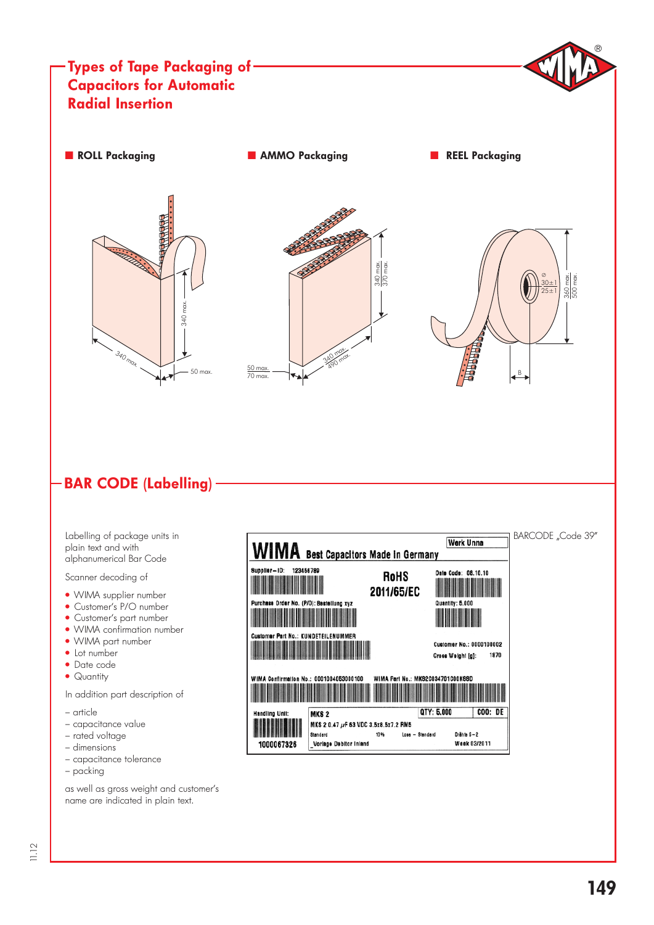

#### BAR CODE (Labelling)

Labelling of package units in plain text and with alphanumerical Bar Code

Scanner decoding of

- WIMA supplier number
- Customer's P/O number
- Customer's part number
- WIMA confirmation number
- · WIMA part number
- Lot number
- " Date code
- Quantity

In addition part description of

- article
- capacitance value
- rated voltage
- dimensions
- capacitance tolerance – packing

as well as gross weight and customer's name are indicated in plain text.

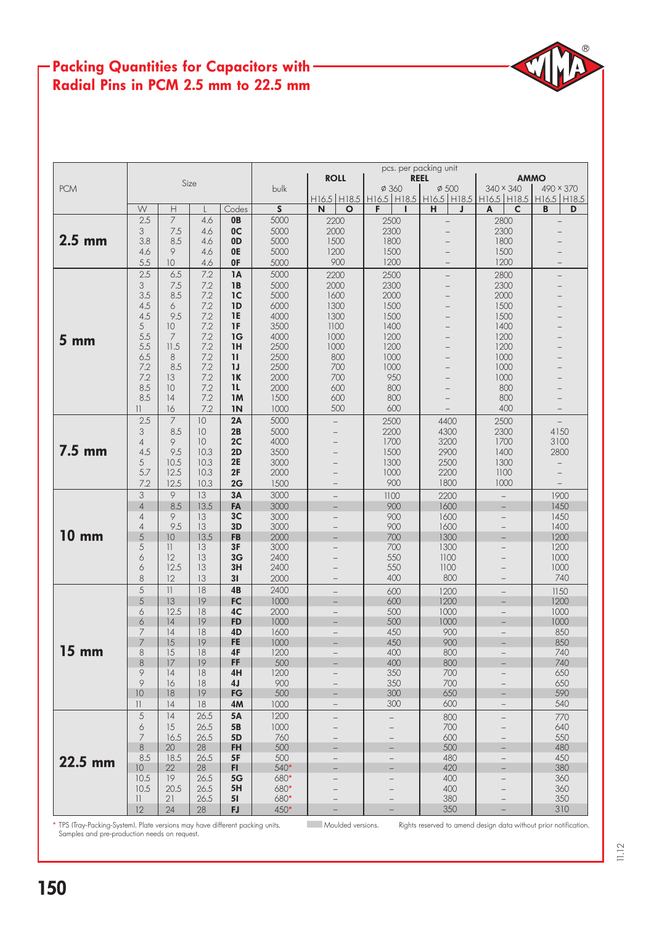#### Packing Quantities for Capacitors with -Radial Pins in PCM 2.5 mm to 22.5 mm

|                 |                 |                          |      |                | pcs. per packing unit |                          |                                                             |                          |                                            |                |  |  |  |  |  |  |
|-----------------|-----------------|--------------------------|------|----------------|-----------------------|--------------------------|-------------------------------------------------------------|--------------------------|--------------------------------------------|----------------|--|--|--|--|--|--|
|                 |                 |                          | Size |                |                       | <b>ROLL</b>              |                                                             | <b>REEL</b>              | <b>AMMO</b>                                |                |  |  |  |  |  |  |
| <b>PCM</b>      |                 |                          |      |                | bulk                  |                          | $\phi$ 360                                                  | $\varnothing$ 500        | 340 × 340                                  | 490 × 370      |  |  |  |  |  |  |
|                 |                 |                          |      |                |                       |                          | H16.5 H18.5 H16.5 H18.5 H16.5 H18.5 H16.5 H18.5 H16.5 H18.5 |                          |                                            |                |  |  |  |  |  |  |
|                 | W               | Н                        |      | Codes          | $\overline{s}$        | N<br>$\mathbf{o}$        | F                                                           | н<br>J                   | A<br>$\mathsf{C}$                          | B<br>D         |  |  |  |  |  |  |
|                 | 2.5             | $\overline{7}$           | 4.6  | 0B             | 5000                  | 2200                     | 2500                                                        | $\overline{\phantom{0}}$ | 2800                                       | $\overline{a}$ |  |  |  |  |  |  |
|                 | 3               | 7.5                      | 4.6  | 0 <sup>C</sup> | 5000                  | 2000                     | 2300                                                        |                          | 2300                                       |                |  |  |  |  |  |  |
| $2.5$ mm        | 3.8             | 8.5                      | 4.6  | 0D             | 5000                  | 1500                     | 1800                                                        |                          | 1800                                       |                |  |  |  |  |  |  |
|                 |                 | 9                        |      |                | 5000                  | 1200                     | 1500                                                        |                          | 1500                                       |                |  |  |  |  |  |  |
|                 | 4.6             |                          | 4.6  | 0E             |                       |                          |                                                             |                          |                                            |                |  |  |  |  |  |  |
|                 | 5.5             | 10 <sup>°</sup>          | 4.6  | 0F             | 5000                  | 900                      | 1200                                                        | $\overline{\phantom{0}}$ | 1200                                       |                |  |  |  |  |  |  |
|                 | 2.5             | 6.5                      | 7.2  | 1A             | 5000                  | 2200                     | 2500                                                        | $\qquad \qquad -$        | 2800                                       |                |  |  |  |  |  |  |
|                 | 3               | 7.5                      | 7.2  | 1B             | 5000                  | 2000                     | 2300                                                        | $\overline{\phantom{0}}$ | 2300                                       |                |  |  |  |  |  |  |
|                 | 3.5             | 8.5                      | 7.2  | 1 <sup>C</sup> | 5000                  | 1600                     | 2000                                                        |                          | 2000                                       |                |  |  |  |  |  |  |
|                 | 4.5             | 6                        | 7.2  | 1D             | 6000                  | 1300                     | 1500                                                        |                          | 1500                                       |                |  |  |  |  |  |  |
|                 | 4.5             | 9.5                      | 7.2  | <b>1E</b>      | 4000                  | 1300                     | 1500                                                        |                          | 1500                                       |                |  |  |  |  |  |  |
|                 | 5               | 10 <sup>°</sup>          | 7.2  | 1F             | 3500                  | 1100                     | 1400                                                        | $\equiv$                 | 1400                                       |                |  |  |  |  |  |  |
|                 | 5.5             | 7                        | 7.2  | 1G             | 4000                  | 1000                     | 1200                                                        | $\equiv$                 | 1200                                       |                |  |  |  |  |  |  |
| 5 <sub>mm</sub> | 5.5             | 11.5                     | 7.2  | 1H             | 2500                  | 1000                     | 1200                                                        |                          | 1200                                       |                |  |  |  |  |  |  |
|                 | 6.5             | 8                        | 7.2  | $\mathbf{1}$   | 2500                  | 800                      | 1000                                                        |                          | 1000                                       |                |  |  |  |  |  |  |
|                 | 7.2             | 8.5                      | 7.2  | 1J             | 2500                  | 700                      | 1000                                                        |                          | 1000                                       |                |  |  |  |  |  |  |
|                 | 7.2             | 13                       | 7.2  | 1K             | 2000                  | 700                      | 950                                                         | $\equiv$                 | 1000                                       |                |  |  |  |  |  |  |
|                 | 8.5             | 10                       | 7.2  | 1 <sub>L</sub> | 2000                  | 600                      | 800                                                         | $\equiv$                 | 800                                        |                |  |  |  |  |  |  |
|                 | 8.5             | 14                       | 7.2  |                | 1500                  | 600                      | 800                                                         | $\equiv$                 | 800                                        |                |  |  |  |  |  |  |
|                 |                 |                          |      | 1M             |                       |                          |                                                             |                          |                                            |                |  |  |  |  |  |  |
|                 | $\mathbf{1}$    | 16                       | 7.2  | 1 <sub>N</sub> | 1000                  | 500                      | 600                                                         |                          | 400                                        |                |  |  |  |  |  |  |
|                 | 2.5             | $\overline{7}$           | 10   | 2A             | 5000                  | $\overline{\phantom{0}}$ | 2500                                                        | 4400                     | 2500                                       |                |  |  |  |  |  |  |
|                 | 3               | 8.5                      | 10   | 2B             | 5000                  |                          | 2200                                                        | 4300                     | 2300                                       | 4150           |  |  |  |  |  |  |
|                 | $\overline{4}$  | 9                        | 10   | 2C             | 4000                  | $\overline{\phantom{0}}$ | 1700                                                        | 3200                     | 1700                                       | 3100           |  |  |  |  |  |  |
| $7.5$ mm        | 4.5             | 9.5                      | 10.3 | 2D             | 3500                  |                          | 1500                                                        | 2900                     | 1400                                       | 2800           |  |  |  |  |  |  |
|                 | 5               | 10.5                     | 10.3 | 2E             | 3000                  |                          | 1300                                                        | 2500                     | 1300                                       |                |  |  |  |  |  |  |
|                 | 5.7             | 12.5                     | 10.3 | 2F             | 2000                  |                          | 1000                                                        | 2200                     | 1100                                       |                |  |  |  |  |  |  |
|                 | 7.2             | 12.5                     | 10.3 | 2G             | 1500                  | $\overline{\phantom{0}}$ | 900                                                         | 1800                     | 1000                                       |                |  |  |  |  |  |  |
|                 | 3               | 9                        | 13   | 3A             | 3000                  | $\overline{\phantom{m}}$ | 1100                                                        | 2200                     | $\overline{\phantom{0}}$                   | 1900           |  |  |  |  |  |  |
|                 | $\overline{4}$  | 8.5                      | 13.5 | FA             | 3000                  | $-$                      | 900                                                         | 1600                     | $\overline{\phantom{0}}$                   | 1450           |  |  |  |  |  |  |
|                 | $\overline{4}$  | 9                        | 13   | 3 <sub>C</sub> | 3000                  | $\overline{\phantom{0}}$ | 900                                                         | 1600                     | $\overline{\phantom{0}}$                   | 1450           |  |  |  |  |  |  |
|                 | $\overline{4}$  | 9.5                      | 13   | 3D             | 3000                  | $-$                      | 900                                                         | 1600                     |                                            | 1400           |  |  |  |  |  |  |
| <b>10 mm</b>    | 5               | 10                       | 13.5 | <b>FB</b>      | 2000                  |                          | 700                                                         | 1300                     | $\overline{\phantom{0}}$<br>$\overline{a}$ | 1200           |  |  |  |  |  |  |
|                 |                 |                          |      |                |                       |                          |                                                             |                          |                                            |                |  |  |  |  |  |  |
|                 | 5               | 11                       | 13   | 3F             | 3000                  | $\overline{\phantom{m}}$ | 700                                                         | 1300                     | $\qquad \qquad -$                          | 1200           |  |  |  |  |  |  |
|                 | 6               | 12                       | 13   | 3G             | 2400                  |                          | 550                                                         | 1100                     |                                            | 1000           |  |  |  |  |  |  |
|                 | 6               | 12.5                     | 13   | 3H             | 2400                  |                          | 550                                                         | 1100                     |                                            | 1000           |  |  |  |  |  |  |
|                 | 8               | 12                       | 13   | 31             | 2000                  |                          | 400                                                         | 800                      |                                            | 740            |  |  |  |  |  |  |
|                 | 5               | $\left\vert \right\vert$ | 18   | 4B             | 2400                  |                          | 600                                                         | 1200                     | $\qquad \qquad -$                          | 1150           |  |  |  |  |  |  |
|                 | 5               | 13                       | 19   | FC             | 1000                  | $\qquad \qquad -$        | 600                                                         | 1200                     | $\overline{\phantom{0}}$                   | 1200           |  |  |  |  |  |  |
|                 | 6               | 12.5                     | 18   | 4C             | 2000                  | $\equiv$                 | 500                                                         | 1000                     | $-$                                        | 1000           |  |  |  |  |  |  |
|                 | 6               | 14                       | 19   | <b>FD</b>      | 1000                  | $-$                      | 500                                                         | 1000                     |                                            | 1000           |  |  |  |  |  |  |
|                 | 7               | 14                       | 18   | 4D             | 1600                  | $\overline{\phantom{a}}$ | 450                                                         | 900                      | $\overline{\phantom{a}}$                   | 850            |  |  |  |  |  |  |
|                 | 7               | 15                       | 19   | <b>FE</b>      | 1000                  | $\overline{a}$           | 450                                                         | 900                      | $\overline{a}$                             | 850            |  |  |  |  |  |  |
| $15 \text{ mm}$ | 8               | 15                       | 18   | 4F             | 1200                  | $\overline{\phantom{0}}$ | 400                                                         | 800                      | $\overline{\phantom{0}}$                   | 740            |  |  |  |  |  |  |
|                 | 8               | 17                       | 19   | FF             | 500                   | -                        | 400                                                         | 800                      | -                                          | 740            |  |  |  |  |  |  |
|                 | 9               | 14                       | 18   | 4H             | 1200                  |                          | 350                                                         | 700                      |                                            | 650            |  |  |  |  |  |  |
|                 | 9               | 16                       | 18   | 4 <sub>J</sub> | 900                   |                          | 350                                                         | 700                      | $\qquad \qquad -$                          | 650            |  |  |  |  |  |  |
|                 | 10              | 18                       | 19   | <b>FG</b>      | 500                   | -                        | 300                                                         | 650                      | -                                          | 590            |  |  |  |  |  |  |
|                 | 11              | 14                       | 18   | 4M             | 1000                  | $\qquad \qquad -$        | 300                                                         | 600                      | $\qquad \qquad -$                          | 540            |  |  |  |  |  |  |
|                 |                 |                          |      |                |                       |                          |                                                             |                          |                                            |                |  |  |  |  |  |  |
|                 | 5               | 4                        | 26.5 | <b>5A</b>      | 1200                  | $\overline{\phantom{0}}$ | $\qquad \qquad -$                                           | 800                      | $\overline{\phantom{0}}$                   | 770            |  |  |  |  |  |  |
|                 | 6               | 15                       | 26.5 | 5 <b>B</b>     | 1000                  |                          |                                                             | 700                      |                                            | 640            |  |  |  |  |  |  |
|                 | $\overline{7}$  | 16.5                     | 26.5 | 5D             | 760                   | $-$                      | 600<br>$\qquad \qquad -$                                    |                          |                                            | 550            |  |  |  |  |  |  |
|                 | $\,8\,$         | 20                       | 28   | <b>FH</b>      | 500                   |                          |                                                             | 500                      |                                            | 480            |  |  |  |  |  |  |
| 22.5 mm         | 8.5             | 18.5                     | 26.5 | 5F             | 500                   | $\overline{\phantom{0}}$ | $-$                                                         | 480                      | $\overline{\phantom{a}}$                   | 450            |  |  |  |  |  |  |
|                 | 10 <sup>°</sup> | 22                       | 28   | FI.            | 540*                  | $\overline{\phantom{0}}$ | $\overline{\phantom{0}}$                                    | 420                      | -                                          | 380            |  |  |  |  |  |  |
|                 | 10.5            | 19                       | 26.5 | 5G             | 680*                  |                          |                                                             | 400                      |                                            | 360            |  |  |  |  |  |  |
|                 | 10.5            | 20.5                     | 26.5 | 5H             | 680*                  |                          |                                                             | 400                      |                                            | 360            |  |  |  |  |  |  |
|                 | $\mathbf{1}$    | 21                       | 26.5 | 51             | 680*                  | $\qquad \qquad -$        | $\qquad \qquad -$                                           | 380                      | $\overline{\phantom{m}}$                   | 350            |  |  |  |  |  |  |
|                 | 12              | 24                       | 28   | <b>FJ</b>      | $450*$                |                          |                                                             | 350                      |                                            | 310            |  |  |  |  |  |  |

\* TPS (Tray-Packing-System). Plate versions may have different packing units. Moulded versions. Rights reserved to amend design data without prior notification. Samples and pre-production needs on request.

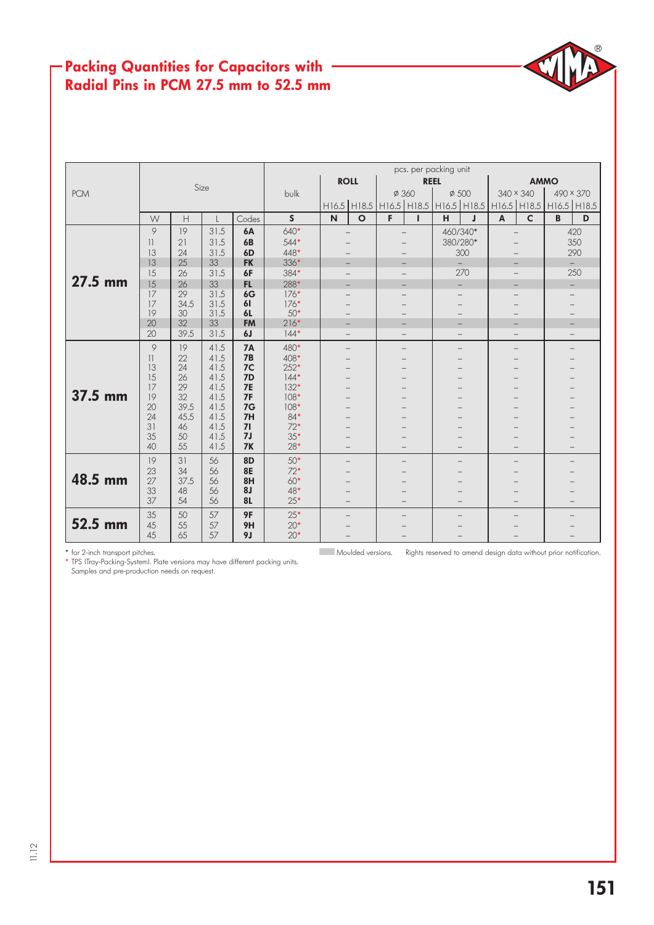#### Packing Quantities for Capacitors with Radial Pins in PCM 27.5 mm to 52.5 mm

|            |                         |            |              |                 | pcs. per packing unit |                          |                          |                                                             |   |                          |                          |              |              |           |          |  |
|------------|-------------------------|------------|--------------|-----------------|-----------------------|--------------------------|--------------------------|-------------------------------------------------------------|---|--------------------------|--------------------------|--------------|--------------|-----------|----------|--|
|            |                         | Size       |              |                 |                       | <b>ROLL</b>              |                          |                                                             |   | <b>REEL</b>              |                          | <b>AMMO</b>  |              |           |          |  |
| <b>PCM</b> |                         |            |              |                 | bulk                  |                          |                          | Ø 360                                                       |   | $\phi$ 500               |                          | 340 × 340    |              | 490 × 370 |          |  |
|            |                         |            |              |                 |                       |                          |                          | H16.5 H18.5 H16.5 H18.5 H16.5 H18.5 H16.5 H18.5 H16.5 H18.5 |   |                          |                          |              |              |           |          |  |
|            | W                       | H          | $\mathbf{I}$ | Codes           | $\mathsf{s}$          | $\mathsf{N}$             | $\mathbf{o}$             | F                                                           | п | н                        | $\mathbf{J}$             | $\mathbf{A}$ | $\mathsf{C}$ | B         | D        |  |
|            | 9                       | 19         | 31.5         | <b>6A</b>       | 640*                  |                          | $\overline{\phantom{0}}$ | $\overline{a}$                                              |   | 460/340*                 |                          |              |              |           | 420      |  |
|            | $\overline{\mathbf{1}}$ | 21         | 31.5         | <b>6B</b>       | $544*$                |                          |                          |                                                             |   | 380/280*                 |                          |              |              |           | 350      |  |
|            | 13                      | 24         | 31.5         | 6 <sub>D</sub>  | 448*                  |                          |                          |                                                             |   |                          | 300                      |              |              | 290       |          |  |
|            | 13                      | 25         | 33           | <b>FK</b>       | 336*                  | $-$                      |                          |                                                             |   |                          | $\equiv$                 |              |              |           | $\equiv$ |  |
|            | 15                      | 26         | 31.5         | 6F              | 384*                  |                          |                          |                                                             |   |                          | 270                      |              |              | 250       |          |  |
| $27.5$ mm  | 15                      | 26         | 33           | FL.             | 288*                  |                          | $\overline{\phantom{0}}$ | -                                                           |   |                          | $\overline{\phantom{0}}$ |              |              |           |          |  |
|            | 17                      | 29         | 31.5<br>31.5 | 6G<br>61        | $176*$                |                          |                          |                                                             |   |                          |                          |              |              |           |          |  |
|            | 17<br>19                | 34.5<br>30 | 31.5         | <b>6L</b>       | $176*$<br>$50*$       |                          |                          |                                                             |   |                          |                          |              |              |           |          |  |
|            | 20                      | 32         | 33           | <b>FM</b>       | $216*$                | $\overline{\phantom{0}}$ |                          | $\overline{\phantom{0}}$                                    | - |                          |                          |              |              |           |          |  |
|            | 20                      | 39.5       | 31.5         | 6J              | $144*$                | $\qquad \qquad -$        |                          | $\qquad \qquad -$<br>$\qquad \qquad -$                      |   |                          | $\overline{\phantom{0}}$ |              | $\equiv$     |           |          |  |
|            | 9                       | 19         | 41.5         | <b>7A</b>       | 480*                  | $\qquad \qquad -$        |                          | $\qquad \qquad -$                                           |   | $\overline{\phantom{0}}$ |                          |              |              |           |          |  |
|            | $\vert$                 | 22         | 41.5         | 7B              | $408*$                |                          |                          |                                                             |   |                          |                          |              |              |           |          |  |
|            | 13                      | 24         | 41.5         | 7C              | $252*$                |                          | $\overline{\phantom{0}}$ |                                                             |   |                          |                          |              |              |           |          |  |
|            | 15                      | 26         | 41.5         | 7D              | $144*$                |                          | $\overline{\phantom{0}}$ |                                                             |   |                          |                          |              |              |           |          |  |
| 37.5 mm    | 17                      | 29         | 41.5<br>41.5 | <b>7E</b><br>7F | $132*$<br>$108*$      |                          |                          |                                                             |   |                          |                          |              |              |           |          |  |
|            | 19<br>20                | 32<br>39.5 | 41.5         | 7G              | $108*$                |                          |                          |                                                             |   |                          |                          |              |              |           |          |  |
|            | 24                      | 45.5       | 41.5         | 7H              | 84*                   |                          |                          |                                                             |   |                          |                          |              |              |           |          |  |
|            | 31                      | 46         | 41.5         | 71              | $72*$                 |                          |                          |                                                             |   |                          |                          |              |              |           |          |  |
|            | 35                      | 50         | 41.5         | 7J              | $35*$                 |                          |                          |                                                             |   |                          |                          |              |              |           |          |  |
|            | 40                      | 55         | 41.5         | <b>7K</b>       | $28*$                 |                          | $\equiv$                 | $\overline{\phantom{0}}$                                    |   | $\overline{\phantom{0}}$ |                          |              |              |           |          |  |
|            | 19                      | 31         | 56           | <b>8D</b>       | $50*$                 | $\overline{\phantom{0}}$ |                          | $\overline{\phantom{0}}$                                    |   | $\overline{\phantom{0}}$ |                          |              |              |           |          |  |
|            | 23                      | 34         | 56           | <b>8E</b>       | $72*$                 |                          | $\overline{\phantom{0}}$ |                                                             |   |                          |                          |              |              |           |          |  |
| 48.5 mm    | 27                      | 37.5       | 56           | 8H              | $60*$                 |                          | $\overline{\phantom{0}}$ |                                                             |   |                          |                          |              |              |           |          |  |
|            | 33<br>37                | 48<br>54   | 56<br>56     | 8J<br><b>8L</b> | $48*$<br>$25*$        |                          | $\equiv$                 | $\overline{\phantom{0}}$                                    |   | $\overline{\phantom{0}}$ |                          |              |              |           |          |  |
|            | 35                      | 50         | 57           | 9F              | $25*$                 | $\overline{\phantom{0}}$ |                          |                                                             |   |                          |                          |              |              |           |          |  |
| 52.5 mm    | 45                      | 55         | 57           | 9H              | $20*$                 |                          |                          |                                                             |   |                          |                          |              |              |           |          |  |
|            | 45                      | 65         | 57           | 9 <sub>J</sub>  | $20*$                 |                          |                          |                                                             |   |                          |                          |              |              |           |          |  |

\* TPS (Tray-Packing-System). Plate versions may have different packing units. Samples and pre-production needs on request.

Moulded versions. Rights reserved to amend design data without prior notification.

 $^{\circledR}$